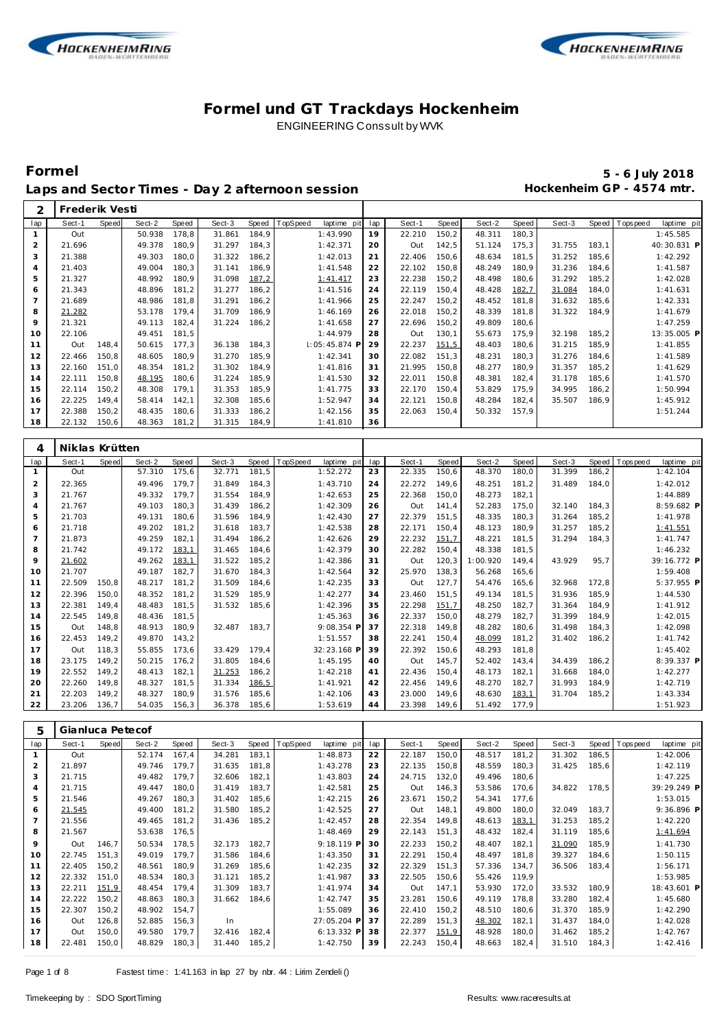

 $\Gamma$ 



### **Formel und GT Trackdays Hockenheim** ENGINEERING Conssult by WVK

## **Formel 5 - 6 July 2018** Laps and Sector Times - Day 2 afternoon session<br> **Hockenheim GP** - 4574 mtr.

| 2              | Frederik Vesti   |              |              |       |              |              |                         |     |              |       |              |       |              |       |                               |
|----------------|------------------|--------------|--------------|-------|--------------|--------------|-------------------------|-----|--------------|-------|--------------|-------|--------------|-------|-------------------------------|
| lap            | Sect-1           | <b>Speed</b> | Sect-2       | Speed | Sect-3       | Speed        | TopSpeed<br>laptime pit | lap | Sect-1       | Speed | Sect-2       | Speed | Sect-3       |       | Speed Topspeed<br>laptime pit |
| $\mathbf{1}$   | Out              |              | 50.938       | 178,8 | 31.861       | 184,9        | 1:43.990                | 19  | 22.210       | 150,2 | 48.311       | 180,3 |              |       | 1:45.585                      |
| $\overline{2}$ | 21.696           |              | 49.378       | 180,9 | 31.297       | 184,3        | 1:42.371                | 20  | Out          | 142,5 | 51.124       | 175,3 | 31.755       | 183,1 | 40:30.831 P                   |
| 3              | 21.388           |              | 49.303       | 180,0 | 31.322       | 186,2        | 1:42.013                | 21  | 22.406       | 150,6 | 48.634       | 181,5 | 31.252       | 185,6 | 1:42.292                      |
| 4              | 21.403           |              | 49.004       | 180,3 | 31.141       | 186,9        | 1:41.548                | 22  | 22.102       | 150,8 | 48.249       | 180,9 | 31.236       | 184,6 | 1:41.587                      |
| 5              | 21.327           |              | 48.992       | 180,9 | 31.098       | 187,2        | 1:41.417                | 23  | 22.238       | 150,2 | 48.498       | 180,6 | 31.292       | 185,2 | 1:42.028                      |
| 6              | 21.343           |              | 48.896       | 181,2 | 31.277       | 186,2        | 1:41.516                | 24  | 22.119       | 150,4 | 48.428       | 182,7 | 31.084       | 184,0 | 1:41.631                      |
| $\overline{7}$ | 21.689           |              | 48.986       | 181,8 | 31.291       | 186,2        | 1:41.966                | 25  | 22.247       | 150,2 | 48.452       | 181,8 | 31.632       | 185,6 | 1:42.331                      |
| 8              | 21.282           |              | 53.178       | 179,4 | 31.709       | 186,9        | 1:46.169                | 26  | 22.018       | 150,2 | 48.339       | 181,8 | 31.322       | 184,9 | 1:41.679                      |
| 9              | 21.321           |              | 49.113       | 182,4 | 31.224       | 186,2        | 1:41.658                | 27  | 22.696       | 150,2 | 49.809       | 180,6 |              |       | 1:47.259                      |
| 10             | 22.106           |              | 49.451       | 181,5 |              |              | 1:44.979                | 28  | Out          | 130,1 | 55.673       | 175,9 | 32.198       | 185,2 | 13:35.005 P                   |
| 11             | Out              | 148,4        | 50.615       | 177,3 | 36.138       | 184,3        | I: 05: 45.874 F         | 29  | 22.237       | 151,5 | 48.403       | 180,6 | 31.215       | 185,9 | 1:41.855                      |
| 12             | 22.466           | 150,8        | 48.605       | 180,9 | 31.270       | 185,9        | 1:42.341                | 30  | 22.082       | 151,3 | 48.231       | 180,3 | 31.276       | 184,6 | 1:41.589                      |
| 13             | 22.160           | 151,0        | 48.354       | 181,2 | 31.302       | 184,9        | 1:41.816                | 31  | 21.995       | 150,8 | 48.277       | 180,9 | 31.357       | 185,2 | 1:41.629                      |
| 14             | 22.111           | 150,8        | 48.195       | 180,6 | 31.224       | 185,9        | 1:41.530                | 32  | 22.011       | 150,8 | 48.381       | 182,4 | 31.178       | 185,6 | 1:41.570                      |
| 15             | 22.114           | 150,2        | 48.308       | 179,1 | 31.353       | 185,9        | 1:41.775                | 33  | 22.170       | 150,4 | 53.829       | 175,9 | 34.995       | 186,2 | 1:50.994                      |
| 16             | 22.225           | 149,4        | 58.414       | 142,1 | 32.308       | 185,6        | 1:52.947                | 34  | 22.121       | 150,8 | 48.284       | 182,4 | 35.507       | 186,9 | 1:45.912                      |
| 17             | 22.388           | 150,2        | 48.435       | 180,6 | 31.333       | 186,2        | 1:42.156                | 35  | 22.063       | 150,4 | 50.332       | 157,9 |              |       | 1:51.244                      |
| 18             | 22.132           | 150,6        | 48.363       | 181,2 | 31.315       | 184,9        | 1:41.810                | 36  |              |       |              |       |              |       |                               |
|                |                  |              |              |       |              |              |                         |     |              |       |              |       |              |       |                               |
| 4              | Niklas Krütten   |              |              |       |              |              |                         |     |              |       |              |       |              |       |                               |
| lap            | Sect-1           | Speed        | Sect-2       | Speed | Sect-3       | <b>Speed</b> | TopSpeed<br>laptime pit | lap | Sect-1       | Speed | Sect-2       | Speed | Sect-3       | Speed | T ops peed<br>laptime pit     |
| $\mathbf{1}$   | Out              |              | 57.310       | 175,6 | 32.771       | 181,5        | 1:52.272                | 23  | 22.335       | 150,6 | 48.370       | 180,0 | 31.399       | 186,2 | 1:42.104                      |
| $\overline{c}$ | 22.365           |              | 49.496       | 179,7 | 31.849       | 184,3        | 1:43.710                | 24  | 22.272       | 149,6 | 48.251       | 181,2 | 31.489       | 184,0 | 1:42.012                      |
| 3              | 21.767           |              | 49.332       | 179,7 | 31.554       | 184,9        | 1:42.653                | 25  | 22.368       | 150,0 | 48.273       | 182,1 |              |       | 1:44.889                      |
| $\overline{4}$ | 21.767           |              | 49.103       | 180,3 | 31.439       | 186,2        | 1:42.309                | 26  | Out          | 141,4 | 52.283       | 175,0 | 32.140       | 184,3 | 8:59.682 P                    |
| 5              | 21.703           |              | 49.131       | 180,6 | 31.596       | 184,9        | 1:42.430                | 27  | 22.379       | 151,5 | 48.335       | 180,3 | 31.264       | 185,2 | 1:41.978                      |
| 6              | 21.718           |              | 49.202       | 181,2 | 31.618       | 183,7        | 1:42.538                | 28  | 22.171       | 150,4 | 48.123       | 180,9 | 31.257       | 185,2 | 1:41.551                      |
| $\overline{7}$ | 21.873           |              | 49.259       | 182,1 | 31.494       | 186,2        | 1:42.626                | 29  | 22.232       | 151,7 | 48.221       | 181,5 | 31.294       | 184,3 | 1:41.747                      |
| 8              | 21.742           |              | 49.172       | 183,1 | 31.465       | 184,6        | 1:42.379                | 30  | 22.282       | 150,4 | 48.338       | 181,5 |              |       | 1:46.232                      |
| 9              | 21.602           |              | 49.262       | 183,1 | 31.522       | 185,2        | 1:42.386                | 31  | Out          | 120,3 | 1:00.920     | 149,4 | 43.929       | 95,7  | 39:16.772 P                   |
| 10             | 21.707           |              | 49.187       | 182,7 | 31.670       | 184,3        | 1:42.564                | 32  | 25.970       | 138,3 | 56.268       | 165,6 |              |       | 1:59.408                      |
| 11             | 22.509           | 150,8        | 48.217       | 181,2 | 31.509       | 184,6        | 1:42.235                | 33  | Out          | 127,7 | 54.476       | 165,6 | 32.968       | 172,8 | 5:37.955 P                    |
| 12             | 22.396           | 150,0        | 48.352       | 181,2 | 31.529       | 185,9        | 1:42.277                | 34  | 23.460       | 151,5 | 49.134       | 181,5 | 31.936       | 185,9 | 1:44.530                      |
| 13             | 22.381           | 149,4        | 48.483       | 181,5 | 31.532       | 185,6        | 1:42.396                | 35  | 22.298       | 151,7 | 48.250       | 182,7 | 31.364       | 184,9 | 1:41.912                      |
| 14             | 22.545           | 149,8        | 48.436       | 181,5 |              |              | 1:45.363                | 36  | 22.337       | 150,0 | 48.279       | 182,7 | 31.399       | 184,9 | 1:42.015                      |
| 15             | Out              | 148,8        | 48.913       | 180,9 | 32.487       | 183,7        | 9:08.354 P              | 37  | 22.318       | 149,8 | 48.282       | 180,6 | 31.498       | 184,3 | 1:42.098                      |
| 16             | 22.453           | 149,2        | 49.870       | 143,2 |              |              | 1:51.557                | 38  | 22.241       | 150,4 | 48.099       | 181,2 | 31.402       | 186,2 | 1:41.742                      |
| 17             | Out              | 118,3        | 55.855       | 173,6 | 33.429       | 179,4        | 32:23.168 F             | 39  | 22.392       | 150,6 | 48.293       | 181,8 |              |       | 1:45.402                      |
| 18             | 23.175           | 149,2        | 50.215       | 176,2 | 31.805       | 184,6        | 1:45.195                | 40  | Out          | 145,7 | 52.402       | 143,4 | 34.439       | 186,2 | 8:39.337 P                    |
| 19             | 22.552           | 149,2        | 48.413       | 182,1 | 31.253       | 186,2        | 1:42.218                | 41  | 22.436       | 150,4 | 48.173       | 182,1 | 31.668       | 184,0 | 1:42.277                      |
| 20             | 22.260           | 149,8        | 48.327       | 181,5 | 31.334       | 186,5        | 1:41.921                | 42  | 22.456       | 149,6 | 48.270       | 182,7 | 31.993       | 184,9 | 1:42.719                      |
| 21             | 22.203           | 149,2        | 48.327       | 180,9 | 31.576       | 185,6        | 1:42.106                | 43  | 23.000       | 149,6 | 48.630       | 183,1 | 31.704       | 185,2 | 1:43.334                      |
| 22             | 23.206           | 136,7        | 54.035       | 156,3 | 36.378       | 185,6        | 1:53.619                | 44  | 23.398       | 149,6 | 51.492       | 177,9 |              |       | 1:51.923                      |
|                |                  |              |              |       |              |              |                         |     |              |       |              |       |              |       |                               |
| 5              | Gianluca Petecof |              |              |       |              |              |                         |     |              |       |              |       |              |       |                               |
| lap            | Sect-1           | <b>Speed</b> | Sect-2       | Speed | Sect-3       | Speed        | TopSpeed<br>laptime pit | lap | Sect-1       | Speed | Sect-2       | Speed | Sect-3       | Speed | T ops pee d<br>laptime pit    |
| $\mathbf{1}$   | Out              |              | 52.174 167,4 |       | 34.281 183,1 |              | 1:48.873                | 22  | 22.187 150,0 |       | 48.517       | 181,2 | 31.302 186,5 |       | 1:42.006                      |
| $\overline{c}$ | 21.897           |              | 49.746 179,7 |       | 31.635 181,8 |              | 1:43.278                | 23  | 22.135 150,8 |       | 48.559 180,3 |       | 31.425 185,6 |       | 1:42.119                      |
| 3              | 21.715           |              | 49.482 179,7 |       | 32.606       | 182,1        | 1:43.803                | 24  | 24.715 132,0 |       | 49.496       | 180,6 |              |       | 1:47.225                      |
| 4              | 21.715           |              | 49.447 180,0 |       | 31.419       | 183,7        | 1:42.581                | 25  | Out          | 146,3 | 53.586       | 170,6 | 34.822 178,5 |       | 39:29.249 P                   |
| 5              | 21.546           |              | 49.267 180,3 |       | 31.402       | 185,6        | 1:42.215                | 26  | 23.671 150,2 |       | 54.341       | 177,6 |              |       | 1:53.015                      |
| 6              | 21.545           |              | 49.400 181,2 |       | 31.580       | 185,2        | 1:42.525                | 27  | Out          | 148,1 | 49.800       | 180,0 | 32.049       | 183,7 | 9:36.896 P                    |
| $\overline{7}$ | 21.556           |              | 49.465 181,2 |       | 31.436       | 185,2        | 1:42.457                | 28  | 22.354       | 149,8 | 48.613       | 183,1 | 31.253       | 185,2 | 1:42.220                      |
| 8              | 21.567           |              | 53.638       | 176,5 |              |              | 1:48.469                | 29  | 22.143 151,3 |       | 48.432       | 182,4 | 31.119       | 185,6 | 1:41.694                      |
| 9              |                  | Out 146,7    | 50.534       | 178,5 | 32.173 182,7 |              | 9:18.119 P              | 30  | 22.233       | 150,2 | 48.407       | 182,1 | 31.090       | 185,9 | 1:41.730                      |

| 8               | 21.567 |       | 53.638 176.5 |       |        |       | 1:48.469     | 29 | 22.143 | 151.3 | 48.432 | 182.4 | 31.119 | 185.6 | 1:41.694    |
|-----------------|--------|-------|--------------|-------|--------|-------|--------------|----|--------|-------|--------|-------|--------|-------|-------------|
| 9               | Out    | 146.7 | 50.534       | 178.5 | 32.173 | 182.7 | $9:18.119$ P | 30 | 22.233 | 150.2 | 48.407 | 182.1 | 31.090 | 185.9 | 1:41.730    |
| 10 <sup>°</sup> | 22.745 | 151.3 | 49.019       | 179.7 | 31.586 | 184.6 | 1:43.350     | 31 | 22.291 | 150.4 | 48.497 | 181.8 | 39.327 | 184.6 | 1:50.115    |
|                 | 22.405 | 150.2 | 48.561       | 180.9 | 31.269 | 185.6 | 1:42.235     | 32 | 22.329 | 151.3 | 57.336 | 134.7 | 36.506 | 183.4 | 1:56.171    |
| 12              | 22.332 | 151.0 | 48.534       | 180.3 | 31.121 | 185.2 | 1:41.987     | 33 | 22.505 | 150.6 | 55.426 | 119.9 |        |       | 1:53.985    |
| 13              | 22.211 | 151.9 | 48.454       | 179.4 | 31.309 | 183.7 | 1:41.974     | 34 | Out    | 147.1 | 53.930 | 172.0 | 33.532 | 180.9 | 18:43.601 P |
| 14              | 22.222 | 150.2 | 48.863       | 180.3 | 31.662 | 184.6 | 1:42.747     | 35 | 23.281 | 150.6 | 49.119 | 178.8 | 33.280 | 182.4 | 1:45.680    |
| 15              | 22.307 | 150.2 | 48.902 154.7 |       |        |       | 1:55.089     | 36 | 22.410 | 150.2 | 48.510 | 180.6 | 31.370 | 185.9 | 1:42.290    |
| 16              | Out    | 126.8 | 52.885 156.3 |       | In.    |       | 27:05.204 P  | 37 | 22.289 | 151.3 | 48.302 | 182.1 | 31.437 | 184.0 | 1:42.028    |
| 17              | Out    | 150.0 | 49.580       | 179.7 | 32.416 | 182.4 | $6:13.332$ P | 38 | 22.377 | 151,9 | 48.928 | 180.0 | 31.462 | 185.2 | 1:42.767    |
| 18              | 22.481 | 150,0 | 48.829       | 180,3 | 31.440 | 185,2 | 1:42.750     | 39 | 22.243 | 150,4 | 48.663 | 182,4 | 31.510 | 184,3 | 1:42.416    |
|                 |        |       |              |       |        |       |              |    |        |       |        |       |        |       |             |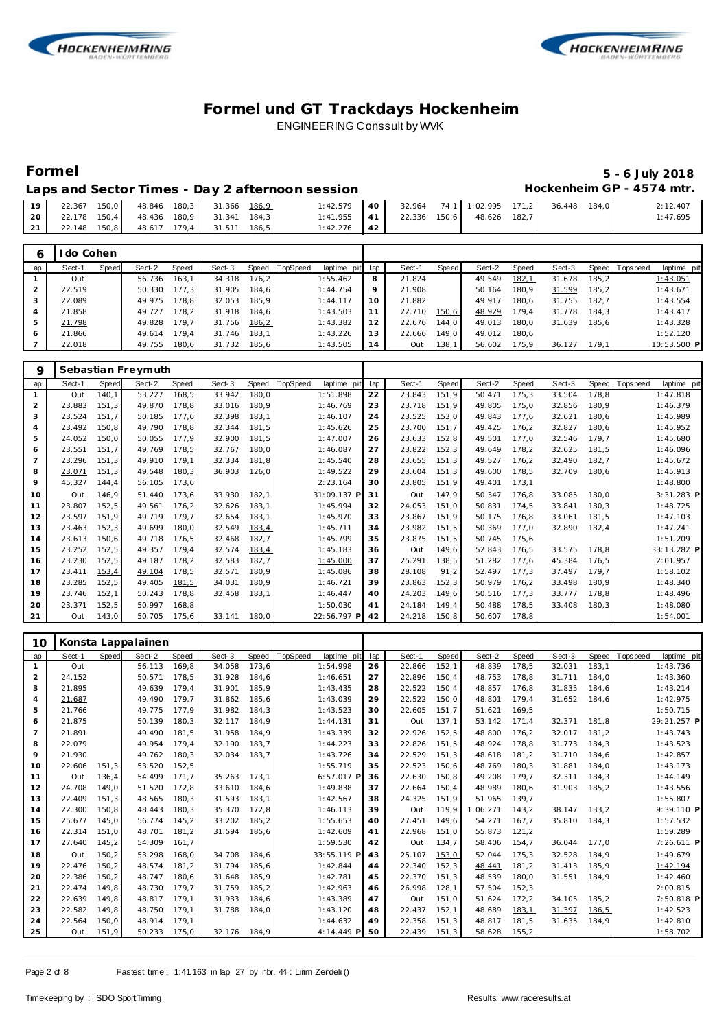



## **Formel 5 - 6 July 2018**

### Laps and Sector Times - Day 2 afternoon session **Hockenheim GP** - 4574 mtr.

| 19 <sup>1</sup> | 22.367 150,0 48.846 180,3 31.366 186,9 |                           |                           | $1:42.579$ 40 | 32.964 74.1 1:02.995 171.2 |                           | 36.448 | 184.0 | 2:12.407 |
|-----------------|----------------------------------------|---------------------------|---------------------------|---------------|----------------------------|---------------------------|--------|-------|----------|
|                 | 20 22.178 150.4                        | 48.436 180.9 31.341 184.3 |                           | $1:41.955$ 41 |                            | 22.336 150,6 48.626 182,7 |        |       | 1:47.695 |
|                 | 21 22.148 150,8                        |                           | 48.617 179.4 31.511 186.5 | $1:42.276$ 42 |                            |                           |        |       |          |

| 6   | do Cohen |       |        |       |        |         |                 |                 |         |        |       |        |       |        |         |                 |             |
|-----|----------|-------|--------|-------|--------|---------|-----------------|-----------------|---------|--------|-------|--------|-------|--------|---------|-----------------|-------------|
| lap | Sect-1   | Speed | Sect-2 | Speed | Sect-3 | Speed T | <b>TopSpeed</b> | laptime pit lap |         | Sect-1 | Speed | Sect-2 | Speed | Sect-3 |         | Speed Tops peed | laptime pit |
|     | Out      |       | 56.736 | 163.1 | 34.318 | 176.2   |                 | 1:55.462        | 8       | 21.824 |       | 49.549 | 182,1 | 31.678 | 185.2   |                 | 1:43.051    |
|     | 22.519   |       | 50.330 | 177.3 | 31.905 | 184.6   |                 | 1:44.754        | $\circ$ | 21.908 |       | 50.164 | 180.9 | 31.599 | 185.2   |                 | 1:43.671    |
|     | 22.089   |       | 49.975 | 178.8 | 32.053 | 185.9   |                 | 1:44.117        | 1 O     | 21.882 |       | 49.917 | 180.6 | 31.755 | 182.7   |                 | 1:43.554    |
|     | 21.858   |       | 49.727 | 178.2 | 31.918 | 184.6   |                 | 1:43.503        |         | 22.710 | 150,6 | 48.929 | 179.4 | 31.778 | 184.3   |                 | 1:43.417    |
|     | 21.798   |       | 49.828 | 179.7 | 31.756 | 186, 2  |                 | 1:43.382        | 12      | 22.676 | 144.0 | 49.013 | 180.0 | 31.639 | 185.6   |                 | 1:43.328    |
| 6   | 21.866   |       | 49.614 | 179.4 | 31.746 | 183.1   |                 | 1:43.226        | 13      | 22.666 | 149.0 | 49.012 | 180.6 |        |         |                 | 1:52.120    |
|     | 22.018   |       | 49.755 | 180.6 | 31.732 | 185.6   |                 | 1:43.505        | 14      | Out    | 138,1 | 56.602 | 175.9 | 36.127 | 179.1 I |                 | 10:53.500 P |

| 9   |        |       | Sebastian Freymuth |       |        |       |                         |     |        |       |        |       |        |       |            |             |
|-----|--------|-------|--------------------|-------|--------|-------|-------------------------|-----|--------|-------|--------|-------|--------|-------|------------|-------------|
| lap | Sect-1 | Speed | Sect-2             | Speed | Sect-3 | Speed | TopSpeed<br>laptime pit | lap | Sect-1 | Speed | Sect-2 | Speed | Sect-3 | Speed | Tops pee d | laptime pit |
|     | Out    | 140,1 | 53.227             | 168,5 | 33.942 | 180,0 | 1:51.898                | 22  | 23.843 | 151.9 | 50.471 | 175,3 | 33.504 | 178,8 |            | 1:47.818    |
| 2   | 23.883 | 151,3 | 49.870             | 178,8 | 33.016 | 180,9 | 1:46.769                | 23  | 23.718 | 151.9 | 49.805 | 175,0 | 32.856 | 180,9 |            | 1:46.379    |
| 3   | 23.524 | 151.7 | 50.185             | 177.6 | 32.398 | 183,1 | 1:46.107                | 24  | 23.525 | 153.0 | 49.843 | 177,6 | 32.621 | 180,6 |            | 1:45.989    |
| 4   | 23.492 | 150,8 | 49.790             | 178,8 | 32.344 | 181,5 | 1:45.626                | 25  | 23.700 | 151.7 | 49.425 | 176,2 | 32.827 | 180,6 |            | 1:45.952    |
| 5   | 24.052 | 150,0 | 50.055             | 177,9 | 32.900 | 181,5 | 1:47.007                | 26  | 23.633 | 152.8 | 49.501 | 177,0 | 32.546 | 179,7 |            | 1:45.680    |
| 6   | 23.551 | 151.7 | 49.769             | 178,5 | 32.767 | 180,0 | 1:46.087                | 27  | 23.822 | 152,3 | 49.649 | 178,2 | 32.625 | 181,5 |            | 1:46.096    |
|     | 23.296 | 151,3 | 49.910             | 179,1 | 32.334 | 181,8 | 1:45.540                | 28  | 23.655 | 151,3 | 49.527 | 176,2 | 32.490 | 182,7 |            | 1:45.672    |
| 8   | 23.071 | 151.3 | 49.548             | 180,3 | 36.903 | 126,0 | 1:49.522                | 29  | 23.604 | 151,3 | 49.600 | 178,5 | 32.709 | 180.6 |            | 1:45.913    |
| 9   | 45.327 | 144.4 | 56.105             | 173,6 |        |       | 2:23.164                | 30  | 23.805 | 151,9 | 49.401 | 173,1 |        |       |            | 1:48.800    |
| 10  | Out    | 146.9 | 51.440             | 173.6 | 33.930 | 182.1 | 31:09.137 F             | 31  | Out    | 147,9 | 50.347 | 176.8 | 33.085 | 180,0 |            | 3:31.283 P  |
| 11  | 23.807 | 152,5 | 49.561             | 176,2 | 32.626 | 183,1 | 1:45.994                | 32  | 24.053 | 151.0 | 50.831 | 174,5 | 33.841 | 180,3 |            | 1:48.725    |
| 12  | 23.597 | 151,9 | 49.719             | 179.7 | 32.654 | 183,1 | 1:45.970                | 33  | 23.867 | 151.9 | 50.175 | 176,8 | 33.061 | 181,5 |            | 1:47.103    |
| 13  | 23.463 | 152,3 | 49.699             | 180,0 | 32.549 | 183,4 | 1:45.711                | 34  | 23.982 | 151.5 | 50.369 | 177,0 | 32.890 | 182,4 |            | 1:47.241    |
| 14  | 23.613 | 150,6 | 49.718             | 176.5 | 32.468 | 182,7 | 1:45.799                | 35  | 23.875 | 151.5 | 50.745 | 175,6 |        |       |            | 1:51.209    |
| 15  | 23.252 | 152,5 | 49.357             | 179,4 | 32.574 | 183,4 | 1:45.183                | 36  | Out    | 149.6 | 52.843 | 176,5 | 33.575 | 178,8 |            | 33:13.282 P |
| 16  | 23.230 | 152,5 | 49.187             | 178,2 | 32.583 | 182,7 | 1:45.000                | 37  | 25.291 | 138,5 | 51.282 | 177,6 | 45.384 | 176,5 |            | 2:01.957    |
| 17  | 23.411 | 153,4 | 49.104             | 178,5 | 32.571 | 180,9 | 1:45.086                | 38  | 28.108 | 91,2  | 52.497 | 177,3 | 37.497 | 179.7 |            | 1:58.102    |
| 18  | 23.285 | 152,5 | 49.405             | 181,5 | 34.031 | 180,9 | 1:46.721                | 39  | 23.863 | 152,3 | 50.979 | 176,2 | 33.498 | 180,9 |            | 1:48.340    |
| 19  | 23.746 | 152,1 | 50.243             | 178,8 | 32.458 | 183,1 | 1:46.447                | 40  | 24.203 | 149,6 | 50.516 | 177,3 | 33.777 | 178,8 |            | 1:48.496    |
| 20  | 23.371 | 152,5 | 50.997             | 168,8 |        |       | 1:50.030                | 41  | 24.184 | 149,4 | 50.488 | 178,5 | 33.408 | 180,3 |            | 1:48.080    |
| 21  | Out    | 143,0 | 50.705             | 175,6 | 33.141 | 180.0 | 22:56.797 P             | 42  | 24.218 | 150.8 | 50.607 | 178,8 |        |       |            | 1:54.001    |

| 10             |        |       | Konsta Lappalainen |       |        |       |          |              |     |        |       |          |        |        |       |            |             |
|----------------|--------|-------|--------------------|-------|--------|-------|----------|--------------|-----|--------|-------|----------|--------|--------|-------|------------|-------------|
| lap            | Sect-1 | Speed | Sect-2             | Speed | Sect-3 | Speed | TopSpeed | laptime pit  | lap | Sect-1 | Speed | Sect-2   | Speed  | Sect-3 | Speed | T ops peed | laptime pit |
|                | Out    |       | 56.113             | 169.8 | 34.058 | 173,6 |          | 1:54.998     | 26  | 22.866 | 152,1 | 48.839   | 178,5  | 32.031 | 183.1 |            | 1:43.736    |
| 2              | 24.152 |       | 50.571             | 178.5 | 31.928 | 184,6 |          | 1:46.651     | 27  | 22.896 | 150,4 | 48.753   | 178,8  | 31.711 | 184,0 |            | 1:43.360    |
| 3              | 21.895 |       | 49.639             | 179.4 | 31.901 | 185.9 |          | 1:43.435     | 28  | 22.522 | 150.4 | 48.857   | 176.8  | 31.835 | 184.6 |            | 1:43.214    |
| 4              | 21.687 |       | 49.490             | 179.7 | 31.862 | 185,6 |          | 1:43.039     | 29  | 22.522 | 150,0 | 48.801   | 179,4  | 31.652 | 184,6 |            | 1:42.975    |
| 5              | 21.766 |       | 49.775             | 177.9 | 31.982 | 184,3 |          | 1:43.523     | 30  | 22.605 | 151,7 | 51.621   | 169,5  |        |       |            | 1:50.715    |
| 6              | 21.875 |       | 50.139             | 180.3 | 32.117 | 184,9 |          | 1:44.131     | 31  | Out    | 137,1 | 53.142   | 171,4  | 32.371 | 181.8 |            | 29:21.257 P |
| $\overline{7}$ | 21.891 |       | 49.490             | 181.5 | 31.958 | 184,9 |          | 1:43.339     | 32  | 22.926 | 152,5 | 48.800   | 176,2  | 32.017 | 181,2 |            | 1:43.743    |
| 8              | 22.079 |       | 49.954             | 179.4 | 32.190 | 183,7 |          | 1:44.223     | 33  | 22.826 | 151,5 | 48.924   | 178.8  | 31.773 | 184.3 |            | 1:43.523    |
| 9              | 21.930 |       | 49.762             | 180.3 | 32.034 | 183,7 |          | 1:43.726     | 34  | 22.529 | 151,3 | 48.618   | 181,2  | 31.710 | 184,6 |            | 1:42.857    |
| 10             | 22.606 | 151.3 | 53.520             | 152,5 |        |       |          | 1:55.719     | 35  | 22.523 | 150,6 | 48.769   | 180,3  | 31.881 | 184,0 |            | 1:43.173    |
| 11             | Out    | 136.4 | 54.499             | 171.7 | 35.263 | 173.1 |          | $6:57.017$ P | 36  | 22.630 | 150.8 | 49.208   | 179.7  | 32.311 | 184,3 |            | 1:44.149    |
| 12             | 24.708 | 149.0 | 51.520             | 172.8 | 33.610 | 184,6 |          | 1:49.838     | 37  | 22.664 | 150.4 | 48.989   | 180,6  | 31.903 | 185,2 |            | 1:43.556    |
| 13             | 22.409 | 151.3 | 48.565             | 180.3 | 31.593 | 183,1 |          | 1:42.567     | 38  | 24.325 | 151,9 | 51.965   | 139,7  |        |       |            | 1:55.807    |
| 14             | 22.300 | 150.8 | 48.443             | 180.3 | 35.370 | 172,8 |          | 1:46.113     | 39  | Out    | 119.9 | 1:06.271 | 143,2  | 38.147 | 133.2 |            | 9:39.110 P  |
| 15             | 25.677 | 145.0 | 56.774             | 145,2 | 33.202 | 185,2 |          | 1:55.653     | 40  | 27.451 | 149.6 | 54.271   | 167,7  | 35.810 | 184,3 |            | 1:57.532    |
| 16             | 22.314 | 151,0 | 48.701             | 181,2 | 31.594 | 185,6 |          | 1:42.609     | 41  | 22.968 | 151,0 | 55.873   | 121,2  |        |       |            | 1:59.289    |
| 17             | 27.640 | 145.2 | 54.309             | 161.7 |        |       |          | 1:59.530     | 42  | Out    | 134.7 | 58.406   | 154.7  | 36.044 | 177.0 |            | 7:26.611 P  |
| 18             | Out    | 150,2 | 53.298             | 168.0 | 34.708 | 184,6 |          | 33:55.119 P  | 43  | 25.107 | 153,0 | 52.044   | 175,3  | 32.528 | 184,9 |            | 1:49.679    |
| 19             | 22.476 | 150.2 | 48.574             | 181.2 | 31.794 | 185,6 |          | 1:42.844     | 44  | 22.340 | 152,3 | 48.441   | 181,2  | 31.413 | 185.9 |            | 1:42.194    |
| 20             | 22.386 | 150.2 | 48.747             | 180.6 | 31.648 | 185,9 |          | 1:42.781     | 45  | 22.370 | 151,3 | 48.539   | 180,0  | 31.551 | 184,9 |            | 1:42.460    |
| 21             | 22.474 | 149.8 | 48.730             | 179.7 | 31.759 | 185,2 |          | 1:42.963     | 46  | 26.998 | 128,1 | 57.504   | 152,3  |        |       |            | 2:00.815    |
| 22             | 22.639 | 149.8 | 48.817             | 179.1 | 31.933 | 184,6 |          | 1:43.389     | 47  | Out    | 151.0 | 51.624   | 172,2  | 34.105 | 185,2 |            | 7:50.818 P  |
| 23             | 22.582 | 149.8 | 48.750             | 179.1 | 31.788 | 184,0 |          | 1:43.120     | 48  | 22.437 | 152,1 | 48.689   | 183,1  | 31.397 | 186,5 |            | 1:42.523    |
| 24             | 22.564 | 150.0 | 48.914             | 179.1 |        |       |          | 1:44.632     | 49  | 22.358 | 151,3 | 48.817   | 181,5  | 31.635 | 184,9 |            | 1:42.810    |
| 25             | Out    | 151.9 | 50.233             | 175.0 | 32.176 | 184.9 |          | 4:14.449 P   | 50  | 22.439 | 151.3 | 58.628   | 155, 2 |        |       |            | 1:58.702    |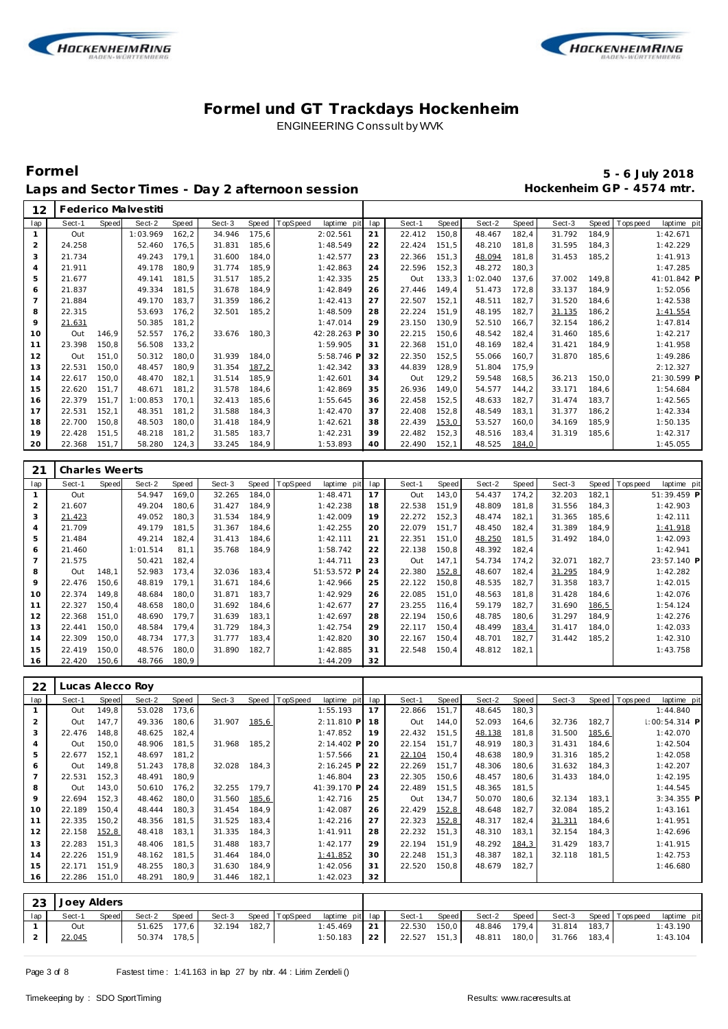



### **Formel 5 - 6 July 2018** Laps and Sector Times - Day 2 afternoon session **Hockenheim GP** - 4574 mtr.

| 12             |                  |       | Federico Malvestiti |       |        |              |          |             |     |        |       |          |       |        |       |                           |
|----------------|------------------|-------|---------------------|-------|--------|--------------|----------|-------------|-----|--------|-------|----------|-------|--------|-------|---------------------------|
| lap            | Sect-1           | Speed | Sect-2              | Speed | Sect-3 | <b>Speed</b> | TopSpeed | laptime pit | lap | Sect-1 | Speed | Sect-2   | Speed | Sect-3 | Speed | laptime pit<br>T ops peed |
| $\mathbf{1}$   | Out              |       | 1:03.969            | 162,2 | 34.946 | 175,6        |          | 2:02.561    | 21  | 22.412 | 150,8 | 48.467   | 182,4 | 31.792 | 184.9 | 1:42.671                  |
| $\overline{2}$ | 24.258           |       | 52.460              | 176,5 | 31.831 | 185,6        |          | 1:48.549    | 22  | 22.424 | 151,5 | 48.210   | 181,8 | 31.595 | 184,3 | 1:42.229                  |
| 3              | 21.734           |       | 49.243              | 179,1 | 31.600 | 184,0        |          | 1:42.577    | 23  | 22.366 | 151,3 | 48.094   | 181,8 | 31.453 | 185,2 | 1:41.913                  |
| $\overline{4}$ | 21.911           |       | 49.178              | 180.9 | 31.774 | 185,9        |          | 1:42.863    | 24  | 22.596 | 152,3 | 48.272   | 180,3 |        |       | 1:47.285                  |
| 5              | 21.677           |       | 49.141              | 181,5 | 31.517 | 185,2        |          | 1:42.335    | 25  | Out    | 133,3 | 1:02.040 | 137,6 | 37.002 | 149,8 | 41:01.842 P               |
| 6              | 21.837           |       | 49.334              | 181,5 | 31.678 | 184,9        |          | 1:42.849    | 26  | 27.446 | 149,4 | 51.473   | 172,8 | 33.137 | 184,9 | 1:52.056                  |
| $\overline{7}$ | 21.884           |       | 49.170              | 183,7 | 31.359 | 186,2        |          | 1:42.413    | 27  | 22.507 | 152,1 | 48.511   | 182,7 | 31.520 | 184,6 | 1:42.538                  |
| 8              | 22.315           |       | 53.693              | 176,2 | 32.501 | 185,2        |          | 1:48.509    | 28  | 22.224 | 151,9 | 48.195   | 182,7 | 31.135 | 186,2 | 1:41.554                  |
| 9              | 21.631           |       | 50.385              | 181,2 |        |              |          | 1:47.014    | 29  | 23.150 | 130,9 | 52.510   | 166,7 | 32.154 | 186,2 | 1:47.814                  |
| 10             | Out              | 146,9 | 52.557              | 176,2 | 33.676 | 180,3        |          | 42:28.263 P | 30  | 22.215 | 150,6 | 48.542   | 182,4 | 31.460 | 185,6 | 1:42.217                  |
| 11             | 23.398           | 150,8 | 56.508              | 133,2 |        |              |          | 1:59.905    | 31  | 22.368 | 151,0 | 48.169   | 182,4 | 31.421 | 184,9 | 1:41.958                  |
| 12             | Out              | 151,0 | 50.312              | 180,0 | 31.939 | 184,0        |          | 5:58.746 P  | 32  | 22.350 | 152,5 | 55.066   | 160,7 | 31.870 | 185,6 | 1:49.286                  |
| 13             | 22.531           | 150,0 | 48.457              | 180,9 | 31.354 | 187,2        |          | 1:42.342    | 33  | 44.839 | 128,9 | 51.804   | 175,9 |        |       | 2:12.327                  |
| 14             | 22.617           | 150,0 | 48.470              | 182,1 | 31.514 | 185,9        |          | 1:42.601    | 34  | Out    | 129,2 | 59.548   | 168,5 | 36.213 | 150,0 | 21:30.599 P               |
| 15             | 22.620           | 151,7 | 48.671              | 181,2 | 31.578 | 184,6        |          | 1:42.869    | 35  | 26.936 | 149.0 | 54.577   | 144,2 | 33.171 | 184,6 | 1:54.684                  |
| 16             | 22.379           | 151,7 | 1:00.853            | 170,1 | 32.413 | 185,6        |          | 1:55.645    | 36  | 22.458 | 152,5 | 48.633   | 182,7 | 31.474 | 183,7 | 1:42.565                  |
| 17             | 22.531           | 152,1 | 48.351              | 181,2 | 31.588 | 184,3        |          | 1:42.470    | 37  | 22.408 | 152,8 | 48.549   | 183,1 | 31.377 | 186,2 | 1:42.334                  |
| 18             | 22.700           | 150,8 | 48.503              | 180,0 | 31.418 | 184,9        |          | 1:42.621    | 38  | 22.439 | 153,0 | 53.527   | 160,0 | 34.169 | 185,9 | 1:50.135                  |
| 19             | 22.428           | 151,5 | 48.218              | 181,2 | 31.585 | 183,7        |          | 1:42.231    | 39  | 22.482 | 152,3 | 48.516   | 183,4 | 31.319 | 185,6 | 1:42.317                  |
| 20             | 22.368           | 151,7 | 58.280              | 124,3 | 33.245 | 184,9        |          | 1:53.893    | 40  | 22.490 | 152,1 | 48.525   | 184,0 |        |       | 1:45.055                  |
|                |                  |       |                     |       |        |              |          |             |     |        |       |          |       |        |       |                           |
|                |                  |       |                     |       |        |              |          |             |     |        |       |          |       |        |       |                           |
| 21             | Charles Weerts   |       |                     |       |        |              |          |             |     |        |       |          |       |        |       |                           |
| lap            | Sect-1           | Speed | Sect-2              | Speed | Sect-3 | <b>Speed</b> | TopSpeed | laptime pit | lap | Sect-1 | Speed | Sect-2   | Speed | Sect-3 | Speed | T ops peed<br>laptime pit |
| $\mathbf{1}$   | Out              |       | 54.947              | 169,0 | 32.265 | 184,0        |          | 1:48.471    | 17  | Out    | 143,0 | 54.437   | 174,2 | 32.203 | 182,1 | 51:39.459 P               |
| $\overline{2}$ | 21.607           |       | 49.204              | 180,6 | 31.427 | 184,9        |          | 1:42.238    | 18  | 22.538 | 151,9 | 48.809   | 181,8 | 31.556 | 184,3 | 1:42.903                  |
| 3              | 21.423           |       | 49.052              | 180,3 | 31.534 | 184,9        |          | 1:42.009    | 19  | 22.272 | 152,3 | 48.474   | 182,1 | 31.365 | 185,6 | 1:42.111                  |
| $\overline{4}$ | 21.709           |       | 49.179              | 181,5 | 31.367 | 184,6        |          | 1:42.255    | 20  | 22.079 | 151,7 | 48.450   | 182,4 | 31.389 | 184,9 | 1:41.918                  |
| 5              | 21.484           |       | 49.214              | 182,4 | 31.413 | 184,6        |          | 1:42.111    | 21  | 22.351 | 151,0 | 48.250   | 181,5 | 31.492 | 184,0 | 1:42.093                  |
| 6              | 21.460           |       | 1:01.514            | 81,1  | 35.768 | 184,9        |          | 1:58.742    | 22  | 22.138 | 150,8 | 48.392   | 182,4 |        |       | 1:42.941                  |
| $\overline{7}$ | 21.575           |       | 50.421              | 182,4 |        |              |          | 1:44.711    | 23  | Out    | 147,1 | 54.734   | 174,2 | 32.071 | 182,7 | 23:57.140 P               |
| 8              | Out              | 148,1 | 52.983              | 173,4 | 32.036 | 183,4        |          | 51:53.572 P | 24  | 22.380 | 152,8 | 48.607   | 182,4 | 31.295 | 184,9 | 1:42.282                  |
| $\circ$        | 22.476           | 150,6 | 48.819              | 179,1 | 31.671 | 184,6        |          | 1:42.966    | 25  | 22.122 | 150,8 | 48.535   | 182,7 | 31.358 | 183,7 | 1:42.015                  |
| 10             | 22.374           | 149,8 | 48.684              | 180,0 | 31.871 | 183,7        |          | 1:42.929    | 26  | 22.085 | 151,0 | 48.563   | 181,8 | 31.428 | 184,6 | 1:42.076                  |
| 11             | 22.327           | 150,4 | 48.658              | 180,0 | 31.692 | 184,6        |          | 1:42.677    | 27  | 23.255 | 116,4 | 59.179   | 182,7 | 31.690 | 186,5 | 1:54.124                  |
| 12             | 22.368           | 151,0 | 48.690              | 179,7 | 31.639 | 183,1        |          | 1:42.697    | 28  | 22.194 | 150,6 | 48.785   | 180,6 | 31.297 | 184,9 | 1:42.276                  |
| 13             | 22.441           | 150,0 | 48.584              | 179,4 | 31.729 | 184,3        |          | 1:42.754    | 29  | 22.117 | 150,4 | 48.499   | 183,4 | 31.417 | 184,0 | 1:42.033                  |
| 14             | 22.309           | 150,0 | 48.734              | 177,3 | 31.777 | 183,4        |          | 1:42.820    | 30  | 22.167 | 150,4 | 48.701   | 182,7 | 31.442 | 185,2 | 1:42.310                  |
| 15             | 22.419           | 150,0 | 48.576              | 180,0 | 31.890 | 182,7        |          | 1:42.885    | 31  | 22.548 | 150,4 | 48.812   | 182,1 |        |       | 1:43.758                  |
| 16             | 22.420           | 150,6 | 48.766              | 180,9 |        |              |          | 1:44.209    | 32  |        |       |          |       |        |       |                           |
|                |                  |       |                     |       |        |              |          |             |     |        |       |          |       |        |       |                           |
| 22             | Lucas Alecco Roy |       |                     |       |        |              |          |             |     |        |       |          |       |        |       |                           |

| lap | Sect-1 | <b>Speed</b> | Sect-2 | Speed | Sect-3 | Speed   T | <b>TopSpeed</b> | laptime pit  | lap | Sect-1 | Speed | Sect-2 | Speed  | Sect-3 |       | Speed Tops peed | laptime pit     |
|-----|--------|--------------|--------|-------|--------|-----------|-----------------|--------------|-----|--------|-------|--------|--------|--------|-------|-----------------|-----------------|
|     | Out    | 149,8        | 53.028 | 173,6 |        |           |                 | 1:55.193     | 17  | 22.866 | 151,7 | 48.645 | 180,3  |        |       |                 | 1:44.840        |
|     | Out    | 147.7        | 49.336 | 180,6 | 31.907 | 185,6     |                 | $2:11.810$ P | 18  | Out    | 144.0 | 52.093 | 164,6  | 32.736 | 182,7 |                 | $1:00:54.314$ P |
| 3   | 22.476 | 148.8        | 48.625 | 182,4 |        |           |                 | 1:47.852     | 19  | 22.432 | 151.5 | 48.138 | 181,8  | 31.500 | 185,6 |                 | 1:42.070        |
|     | Out    | 150,0        | 48.906 | 181,5 | 31.968 | 185.2     |                 | 2:14.402 P   | 20  | 22.154 | 151.7 | 48.919 | 180,3  | 31.431 | 184.6 |                 | 1:42.504        |
| 5   | 22.677 | 152,1        | 48.697 | 181,2 |        |           |                 | 1:57.566     | 21  | 22.104 | 150,4 | 48.638 | 180,9  | 31.316 | 185,2 |                 | 1:42.058        |
| 6   | Out    | 149.8        | 51.243 | 178.8 | 32.028 | 184,3     |                 | $2:16.245$ P | 22  | 22.269 | 151.7 | 48.306 | 180,6  | 31.632 | 184,3 |                 | 1:42.207        |
|     | 22.531 | 152.3        | 48.491 | 180.9 |        |           |                 | 1:46.804     | 23  | 22.305 | 150.6 | 48.457 | 180,6  | 31.433 | 184.0 |                 | 1:42.195        |
| 8   | Out    | 143,0        | 50.610 | 176,2 | 32.255 | 179.7     |                 | 41:39.170 P  | 24  | 22.489 | 151.5 | 48.365 | 181,5  |        |       |                 | 1:44.545        |
| 9   | 22.694 | 152,3        | 48.462 | 180,0 | 31.560 | 185,6     |                 | 1:42.716     | 25  | Out    | 134,7 | 50.070 | 180,6  | 32.134 | 183,1 |                 | $3:34.355$ P    |
| 10  | 22.189 | 150.4        | 48.444 | 180.3 | 31.454 | 184.9     |                 | 1:42.087     | 26  | 22.429 | 152,8 | 48.648 | 182.7  | 32.084 | 185,2 |                 | 1:43.161        |
| 11  | 22.335 | 150,2        | 48.356 | 181.5 | 31.525 | 183,4     |                 | 1:42.216     | 27  | 22.323 | 152,8 | 48.317 | 182,4  | 31.311 | 184,6 |                 | 1:41.951        |
| 12  | 22.158 | 152,8        | 48.418 | 183,1 | 31.335 | 184,3     |                 | 1:41.911     | 28  | 22.232 | 151,3 | 48.310 | 183,1  | 32.154 | 184,3 |                 | 1:42.696        |
| 13  | 22.283 | 151,3        | 48.406 | 181.5 | 31.488 | 183,7     |                 | 1:42.177     | 29  | 22.194 | 151.9 | 48.292 | 184, 3 | 31.429 | 183,7 |                 | 1:41.915        |
| 14  | 22.226 | 151,9        | 48.162 | 181,5 | 31.464 | 184,0     |                 | 1:41.852     | 30  | 22.248 | 151.3 | 48.387 | 182,1  | 32.118 | 181,5 |                 | 1:42.753        |
| 15  | 22.171 | 151.9        | 48.255 | 180,3 | 31.630 | 184,9     |                 | 1:42.056     | 31  | 22.520 | 150.8 | 48.679 | 182.7  |        |       |                 | 1:46.680        |
| 16  | 22.286 | 151,0        | 48.291 | 180,9 | 31.446 | 182,1     |                 | 1:42.023     | 32  |        |       |        |        |        |       |                 |                 |

|     | 23 Joey Alders |       |        |              |              |                       |                 |                                |       |              |                           |                       |             |
|-----|----------------|-------|--------|--------------|--------------|-----------------------|-----------------|--------------------------------|-------|--------------|---------------------------|-----------------------|-------------|
| lap | Sect-1         | Speed | Sect-2 | Speed        |              | Sect-3 Speed TopSpeed | laptime pit lap | Sect-1                         | Speed | Sect-2 Speed |                           | Sect-3 Speed Topspeed | laptime pit |
|     | Out            |       |        | 51.625 177.6 | 32.194 182.7 |                       | $1:45.469$ 21   | 22.530 150,0                   |       | 48.846 179.4 | 31.814 183.7              |                       | 1:43.190    |
|     | 22.045         |       |        | 50.374 178,5 |              |                       |                 | $1:50.183$   22   22.527 151,3 |       |              | 48.811 180,0 31.766 183,4 |                       | 1:43.104    |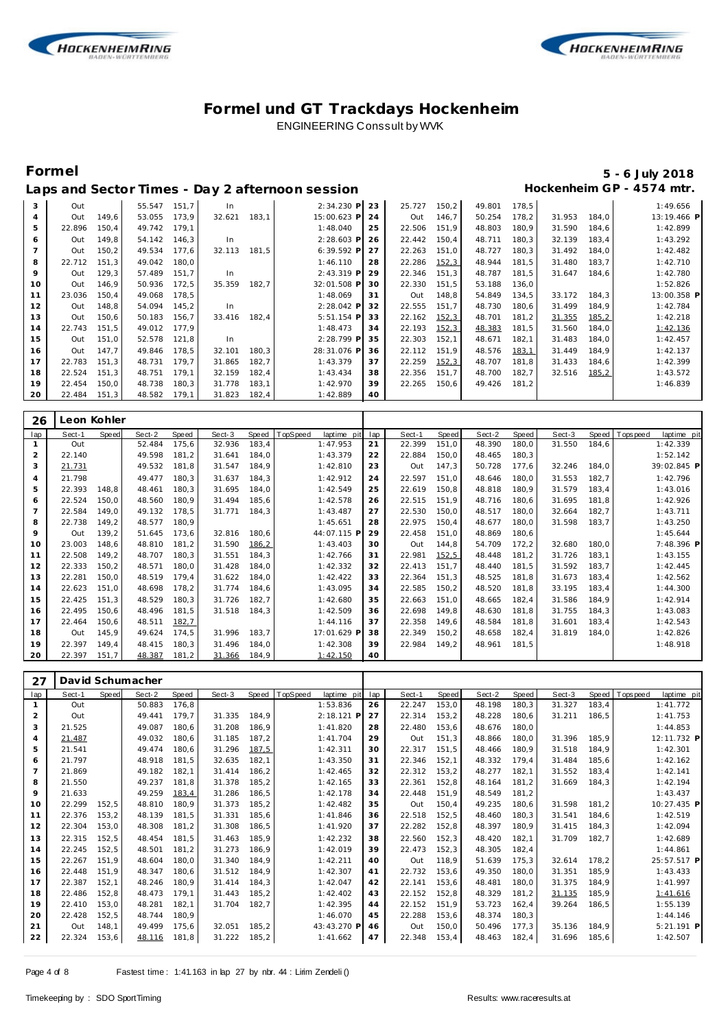



### **Formel 5 - 6 July 2018** Laps and Sector Times - Day 2 afternoon session **Example 2 and Sector Times - Day 2 afternoon** session

| 3  | Out    |       | 55.547 151,7 |       | In.    |       | $2:34.230$ P | 23 | 25.727 | 150,2 | 49.801 | 178.5 |        |       | 1:49.656    |
|----|--------|-------|--------------|-------|--------|-------|--------------|----|--------|-------|--------|-------|--------|-------|-------------|
| 4  | Out    | 149,6 | 53.055       | 173,9 | 32.621 | 183,1 | 15:00.623 P  | 24 | Out    | 146,7 | 50.254 | 178,2 | 31.953 | 184,0 | 13:19.466 P |
| 5  | 22.896 | 150,4 | 49.742       | 179,1 |        |       | 1:48.040     | 25 | 22.506 | 151,9 | 48.803 | 180,9 | 31.590 | 184,6 | 1:42.899    |
| 6  | Out    | 149,8 | 54.142       | 146,3 | In.    |       | 2:28.603 P   | 26 | 22.442 | 150,4 | 48.711 | 180,3 | 32.139 | 183,4 | 1:43.292    |
|    | Out    | 150,2 | 49.534       | 177.6 | 32.113 | 181,5 | 6:39.592 P   | 27 | 22.263 | 151,0 | 48.727 | 180,3 | 31.492 | 184,0 | 1:42.482    |
| 8  | 22.712 | 151,3 | 49.042       | 180,0 |        |       | 1:46.110     | 28 | 22.286 | 152,3 | 48.944 | 181,5 | 31.480 | 183,7 | 1:42.710    |
| 9  | Out    | 129,3 | 57.489       | 151,7 | In     |       | 2:43.319 P   | 29 | 22.346 | 151,3 | 48.787 | 181,5 | 31.647 | 184,6 | 1:42.780    |
| 10 | Out    | 146,9 | 50.936       | 172,5 | 35.359 | 182,7 | 32:01.508 P  | 30 | 22.330 | 151,5 | 53.188 | 136,0 |        |       | 1:52.826    |
| 11 | 23.036 | 150,4 | 49.068       | 178,5 |        |       | 1:48.069     | 31 | Out    | 148,8 | 54.849 | 134,5 | 33.172 | 184,3 | 13:00.358 P |
| 12 | Out    | 148,8 | 54.094       | 145,2 | In     |       | 2:28.042 P   | 32 | 22.555 | 151,7 | 48.730 | 180,6 | 31.499 | 184,9 | 1:42.784    |
| 13 | Out    | 150,6 | 50.183       | 156,7 | 33.416 | 182,4 | 5:51.154 P   | 33 | 22.162 | 152,3 | 48.701 | 181,2 | 31.355 | 185,2 | 1:42.218    |
| 14 | 22.743 | 151,5 | 49.012       | 177.9 |        |       | 1:48.473     | 34 | 22.193 | 152,3 | 48.383 | 181,5 | 31.560 | 184,0 | 1:42.136    |
| 15 | Out    | 151,0 | 52.578       | 121,8 | In     |       | 2:28.799 P   | 35 | 22.303 | 152,1 | 48.671 | 182,1 | 31.483 | 184,0 | 1:42.457    |
| 16 | Out    | 147.7 | 49.846       | 178.5 | 32.101 | 180,3 | 28:31.076 P  | 36 | 22.112 | 151.9 | 48.576 | 183,1 | 31.449 | 184,9 | 1:42.137    |
| 17 | 22.783 | 151,3 | 48.731       | 179.7 | 31.865 | 182,7 | 1:43.379     | 37 | 22.259 | 152,3 | 48.707 | 181,8 | 31.433 | 184,6 | 1:42.399    |
| 18 | 22.524 | 151,3 | 48.751       | 179,1 | 32.159 | 182,4 | 1:43.434     | 38 | 22.356 | 151,7 | 48.700 | 182,7 | 32.516 | 185,2 | 1:43.572    |
| 19 | 22.454 | 150,0 | 48.738       | 180,3 | 31.778 | 183,1 | 1:42.970     | 39 | 22.265 | 150,6 | 49.426 | 181.2 |        |       | 1:46.839    |
| 20 | 22.484 | 151,3 | 48.582       | 179,1 | 31.823 | 182,4 | 1:42.889     | 40 |        |       |        |       |        |       |             |

| 26  |        | Leon Kohler |        |       |        |       |                         |     |        |       |        |       |        |       |            |             |
|-----|--------|-------------|--------|-------|--------|-------|-------------------------|-----|--------|-------|--------|-------|--------|-------|------------|-------------|
| lap | Sect-1 | Speed       | Sect-2 | Speed | Sect-3 | Speed | TopSpeed<br>laptime pit | lap | Sect-1 | Speed | Sect-2 | Speed | Sect-3 | Speed | T ops peed | laptime pit |
|     | Out    |             | 52.484 | 175,6 | 32.936 | 183,4 | 1:47.953                | 21  | 22.399 | 151,0 | 48.390 | 180,0 | 31.550 | 184,6 |            | 1:42.339    |
| 2   | 22.140 |             | 49.598 | 181,2 | 31.641 | 184,0 | 1:43.379                | 22  | 22.884 | 150,0 | 48.465 | 180,3 |        |       |            | 1:52.142    |
| 3   | 21.731 |             | 49.532 | 181,8 | 31.547 | 184,9 | 1:42.810                | 23  | Out    | 147,3 | 50.728 | 177,6 | 32.246 | 184,0 |            | 39:02.845 P |
| 4   | 21.798 |             | 49.477 | 180,3 | 31.637 | 184,3 | 1:42.912                | 24  | 22.597 | 151,0 | 48.646 | 180,0 | 31.553 | 182,7 |            | 1:42.796    |
| 5   | 22.393 | 148,8       | 48.461 | 180,3 | 31.695 | 184,0 | 1:42.549                | 25  | 22.619 | 150,8 | 48.818 | 180,9 | 31.579 | 183,4 |            | 1:43.016    |
| 6   | 22.524 | 150,0       | 48.560 | 180,9 | 31.494 | 185,6 | 1:42.578                | 26  | 22.515 | 151,9 | 48.716 | 180,6 | 31.695 | 181.8 |            | 1:42.926    |
| 7   | 22.584 | 149,0       | 49.132 | 178,5 | 31.771 | 184,3 | 1:43.487                | 27  | 22.530 | 150,0 | 48.517 | 180,0 | 32.664 | 182,7 |            | 1:43.711    |
| 8   | 22.738 | 149,2       | 48.577 | 180,9 |        |       | 1:45.651                | 28  | 22.975 | 150,4 | 48.677 | 180,0 | 31.598 | 183,7 |            | 1:43.250    |
| 9   | Out    | 139,2       | 51.645 | 173,6 | 32.816 | 180,6 | 44:07.115 P             | 29  | 22.458 | 151,0 | 48.869 | 180,6 |        |       |            | 1:45.644    |
| 10  | 23.003 | 148,6       | 48.810 | 181,2 | 31.590 | 186,2 | 1:43.403                | 30  | Out    | 144,8 | 54.709 | 172,2 | 32.680 | 180,0 |            | 7:48.396 P  |
| 11  | 22.508 | 149,2       | 48.707 | 180,3 | 31.551 | 184,3 | 1:42.766                | 31  | 22.981 | 152,5 | 48.448 | 181,2 | 31.726 | 183,1 |            | 1:43.155    |
| 12  | 22.333 | 150,2       | 48.571 | 180,0 | 31.428 | 184,0 | 1:42.332                | 32  | 22.413 | 151,7 | 48.440 | 181,5 | 31.592 | 183,7 |            | 1:42.445    |
| 13  | 22.281 | 150,0       | 48.519 | 179,4 | 31.622 | 184,0 | 1:42.422                | 33  | 22.364 | 151,3 | 48.525 | 181,8 | 31.673 | 183,4 |            | 1:42.562    |
| 14  | 22.623 | 151,0       | 48.698 | 178,2 | 31.774 | 184,6 | 1:43.095                | 34  | 22.585 | 150,2 | 48.520 | 181,8 | 33.195 | 183,4 |            | 1:44.300    |
| 15  | 22.425 | 151,3       | 48.529 | 180,3 | 31.726 | 182,7 | 1:42.680                | 35  | 22.663 | 151,0 | 48.665 | 182,4 | 31.586 | 184,9 |            | 1:42.914    |
| 16  | 22.495 | 150,6       | 48.496 | 181,5 | 31.518 | 184,3 | 1:42.509                | 36  | 22.698 | 149,8 | 48.630 | 181,8 | 31.755 | 184,3 |            | 1:43.083    |
| 17  | 22.464 | 150,6       | 48.511 | 182,7 |        |       | 1:44.116                | 37  | 22.358 | 149,6 | 48.584 | 181,8 | 31.601 | 183,4 |            | 1:42.543    |
| 18  | Out    | 145,9       | 49.624 | 174,5 | 31.996 | 183,7 | 17:01.629 P             | 38  | 22.349 | 150,2 | 48.658 | 182,4 | 31.819 | 184,0 |            | 1:42.826    |
| 19  | 22.397 | 149.4       | 48.415 | 180,3 | 31.496 | 184,0 | 1:42.308                | 39  | 22.984 | 149,2 | 48.961 | 181,5 |        |       |            | 1:48.918    |
| 20  | 22.397 | 151.7       | 48.387 | 181,2 | 31.366 | 184,9 | 1:42.150                | 40  |        |       |        |       |        |       |            |             |

| 27             |        |       | David Schumacher |       |        |       |          |             |     |        |       |        |       |        |       |           |             |  |
|----------------|--------|-------|------------------|-------|--------|-------|----------|-------------|-----|--------|-------|--------|-------|--------|-------|-----------|-------------|--|
| lap            | Sect-1 | Speed | Sect-2           | Speed | Sect-3 | Speed | TopSpeed | laptime pit | lap | Sect-1 | Speed | Sect-2 | Speed | Sect-3 | Speed | Tops peed | laptime pit |  |
| $\mathbf{1}$   | Out    |       | 50.883           | 176.8 |        |       |          | 1:53.836    | 26  | 22.247 | 153.0 | 48.198 | 180,3 | 31.327 | 183.4 |           | 1:41.772    |  |
| 2              | Out    |       | 49.441           | 179.7 | 31.335 | 184.9 |          | 2:18.121 P  | 27  | 22.314 | 153,2 | 48.228 | 180,6 | 31.211 | 186,5 |           | 1:41.753    |  |
| 3              | 21.525 |       | 49.087           | 180.6 | 31.208 | 186.9 |          | 1:41.820    | 28  | 22.480 | 153,6 | 48.676 | 180,0 |        |       |           | 1:44.853    |  |
| $\overline{4}$ | 21.487 |       | 49.032           | 180.6 | 31.185 | 187,2 |          | 1:41.704    | 29  | Out    | 151,3 | 48.866 | 180,0 | 31.396 | 185.9 |           | 12:11.732 P |  |
| 5              | 21.541 |       | 49.474           | 180.6 | 31.296 | 187,5 |          | 1:42.311    | 30  | 22.317 | 151.5 | 48.466 | 180.9 | 31.518 | 184.9 |           | 1:42.301    |  |
| 6              | 21.797 |       | 48.918           | 181.5 | 32.635 | 182,1 |          | 1:43.350    | 31  | 22.346 | 152,1 | 48.332 | 179.4 | 31.484 | 185,6 |           | 1:42.162    |  |
| $\overline{7}$ | 21.869 |       | 49.182           | 182.1 | 31.414 | 186,2 |          | 1:42.465    | 32  | 22.312 | 153,2 | 48.277 | 182,1 | 31.552 | 183,4 |           | 1:42.141    |  |
| 8              | 21.550 |       | 49.237           | 181.8 | 31.378 | 185,2 |          | 1:42.165    | 33  | 22.361 | 152.8 | 48.164 | 181,2 | 31.669 | 184,3 |           | 1:42.194    |  |
| 9              | 21.633 |       | 49.259           | 183.4 | 31.286 | 186,5 |          | 1:42.178    | 34  | 22.448 | 151.9 | 48.549 | 181,2 |        |       |           | 1:43.437    |  |
| 10             | 22.299 | 152.5 | 48.810           | 180.9 | 31.373 | 185,2 |          | 1:42.482    | 35  | Out    | 150.4 | 49.235 | 180.6 | 31.598 | 181.2 |           | 10:27.435 P |  |
| 11             | 22.376 | 153.2 | 48.139           | 181.5 | 31.331 | 185,6 |          | 1:41.846    | 36  | 22.518 | 152.5 | 48.460 | 180,3 | 31.541 | 184,6 |           | 1:42.519    |  |
| 12             | 22.304 | 153,0 | 48.308           | 181,2 | 31.308 | 186,5 |          | 1:41.920    | 37  | 22.282 | 152,8 | 48.397 | 180,9 | 31.415 | 184,3 |           | 1:42.094    |  |
| 13             | 22.315 | 152,5 | 48.454           | 181.5 | 31.463 | 185,9 |          | 1:42.232    | 38  | 22.560 | 152,3 | 48.420 | 182,1 | 31.709 | 182,7 |           | 1:42.689    |  |
| 14             | 22.245 | 152.5 | 48.501           | 181.2 | 31.273 | 186.9 |          | 1:42.019    | 39  | 22.473 | 152.3 | 48.305 | 182.4 |        |       |           | 1:44.861    |  |
| 15             | 22.267 | 151.9 | 48.604           | 180.0 | 31.340 | 184.9 |          | 1:42.211    | 40  | Out    | 118.9 | 51.639 | 175.3 | 32.614 | 178.2 |           | 25:57.517 P |  |
| 16             | 22.448 | 151.9 | 48.347           | 180.6 | 31.512 | 184,9 |          | 1:42.307    | 41  | 22.732 | 153.6 | 49.350 | 180.0 | 31.351 | 185,9 |           | 1:43.433    |  |
| 17             | 22.387 | 152,1 | 48.246           | 180.9 | 31.414 | 184,3 |          | 1:42.047    | 42  | 22.141 | 153.6 | 48.481 | 180,0 | 31.375 | 184,9 |           | 1:41.997    |  |
| 18             | 22.486 | 152,8 | 48.473           | 179.1 | 31.443 | 185,2 |          | 1:42.402    | 43  | 22.152 | 152,8 | 48.329 | 181,2 | 31.135 | 185,9 |           | 1:41.616    |  |
| 19             | 22.410 | 153.0 | 48.281           | 182.1 | 31.704 | 182.7 |          | 1:42.395    | 44  | 22.152 | 151.9 | 53.723 | 162,4 | 39.264 | 186,5 |           | 1:55.139    |  |
| 20             | 22.428 | 152.5 | 48.744           | 180.9 |        |       |          | 1:46.070    | 45  | 22.288 | 153,6 | 48.374 | 180.3 |        |       |           | 1:44.146    |  |
| 21             | Out    | 148,1 | 49.499           | 175.6 | 32.051 | 185,2 |          | 43:43.270 P | 46  | Out    | 150,0 | 50.496 | 177,3 | 35.136 | 184,9 |           | 5:21.191 P  |  |
| 22             | 22.324 | 153,6 | 48.116           | 181,8 | 31.222 | 185,2 |          | 1:41.662    | 47  | 22.348 | 153,4 | 48.463 | 182,4 | 31.696 | 185,6 |           | 1:42.507    |  |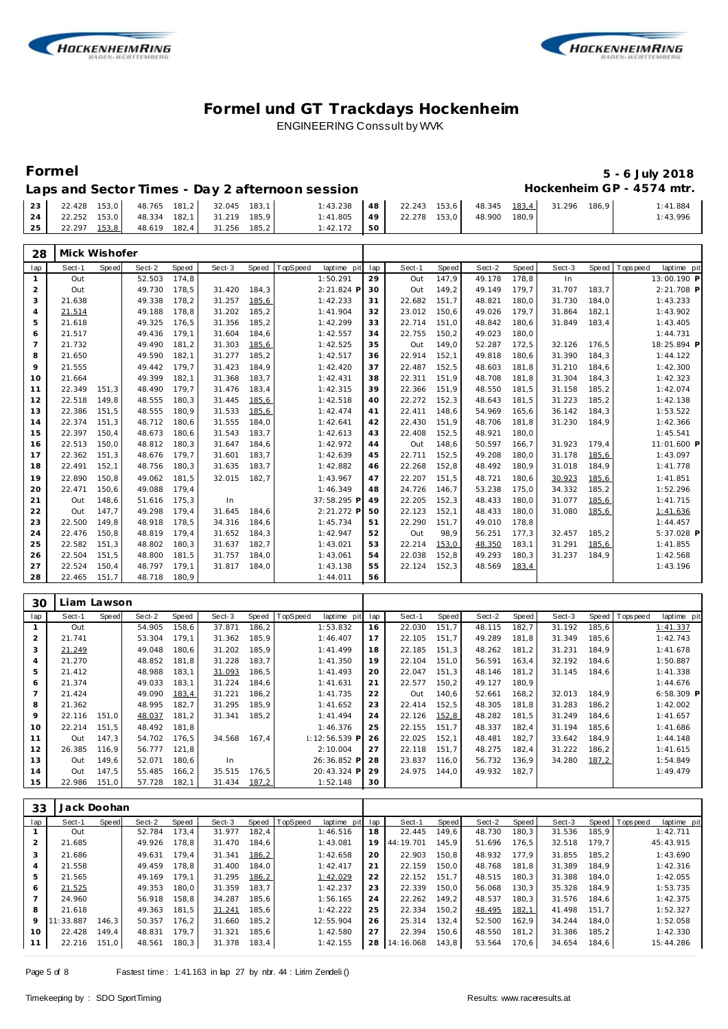



# **Formel 5 - 6 July 2018**

### Laps and Sector Times - Day 2 afternoon session **Hockenheim GP** - 4574 mtr.

|    | $\begin{bmatrix} 23 & 22.428 & 153.0 & 48.765 & 181.2 & 32.045 & 183.1 \end{bmatrix}$ |  |  | $1:43.238$ 48 22.243 153,6 48.345 183,4 31.296 |  |  |  | 186.9 | 1:41.884 |
|----|---------------------------------------------------------------------------------------|--|--|------------------------------------------------|--|--|--|-------|----------|
|    | 24   22.252 153,0   48.334 182,1   31.219 185,9                                       |  |  | 1:41.805 49 22.278 153,0 48.900 180,9          |  |  |  |       | 1:43.996 |
| 25 | 22.297 153.8 48.619 182,4 31.256 185.2                                                |  |  | $1:42.172$ 50                                  |  |  |  |       |          |

| 28             | Mick Wishofer |              |        |       |        |       |          |             |     |        |       |        |       |        |       |            |             |
|----------------|---------------|--------------|--------|-------|--------|-------|----------|-------------|-----|--------|-------|--------|-------|--------|-------|------------|-------------|
| lap            | Sect-1        | <b>Speed</b> | Sect-2 | Speed | Sect-3 | Speed | TopSpeed | laptime pit | lap | Sect-1 | Speed | Sect-2 | Speed | Sect-3 | Speed | T ops peed | laptime pit |
| $\mathbf{1}$   | Out           |              | 52.503 | 174,8 |        |       |          | 1:50.291    | 29  | Out    | 147,9 | 49.178 | 178,8 | In     |       |            | 13:00.190 P |
| 2              | Out           |              | 49.730 | 178,5 | 31.420 | 184,3 |          | 2:21.824 P  | 30  | Out    | 149,2 | 49.149 | 179.7 | 31.707 | 183.7 |            | 2:21.708 P  |
| 3              | 21.638        |              | 49.338 | 178,2 | 31.257 | 185,6 |          | 1:42.233    | 31  | 22.682 | 151,7 | 48.821 | 180,0 | 31.730 | 184.0 |            | 1:43.233    |
| 4              | 21.514        |              | 49.188 | 178,8 | 31.202 | 185,2 |          | 1:41.904    | 32  | 23.012 | 150,6 | 49.026 | 179.7 | 31.864 | 182,1 |            | 1:43.902    |
| 5              | 21.618        |              | 49.325 | 176,5 | 31.356 | 185,2 |          | 1:42.299    | 33  | 22.714 | 151,0 | 48.842 | 180,6 | 31.849 | 183,4 |            | 1:43.405    |
| 6              | 21.517        |              | 49.436 | 179.1 | 31.604 | 184,6 |          | 1:42.557    | 34  | 22.755 | 150,2 | 49.023 | 180,0 |        |       |            | 1:44.731    |
| $\overline{7}$ | 21.732        |              | 49.490 | 181,2 | 31.303 | 185,6 |          | 1:42.525    | 35  | Out    | 149,0 | 52.287 | 172,5 | 32.126 | 176.5 |            | 18:25.894 P |
| 8              | 21.650        |              | 49.590 | 182,1 | 31.277 | 185,2 |          | 1:42.517    | 36  | 22.914 | 152,1 | 49.818 | 180,6 | 31.390 | 184,3 |            | 1:44.122    |
| 9              | 21.555        |              | 49.442 | 179.7 | 31.423 | 184.9 |          | 1:42.420    | 37  | 22.487 | 152,5 | 48.603 | 181.8 | 31.210 | 184.6 |            | 1:42.300    |
| 10             | 21.664        |              | 49.399 | 182.1 | 31.368 | 183,7 |          | 1:42.431    | 38  | 22.311 | 151,9 | 48.708 | 181,8 | 31.304 | 184,3 |            | 1:42.323    |
| 11             | 22.349        | 151.3        | 48.490 | 179.7 | 31.476 | 183.4 |          | 1:42.315    | 39  | 22.366 | 151.9 | 48.550 | 181,5 | 31.158 | 185,2 |            | 1:42.074    |
| 12             | 22.518        | 149,8        | 48.555 | 180,3 | 31.445 | 185,6 |          | 1:42.518    | 40  | 22.272 | 152,3 | 48.643 | 181,5 | 31.223 | 185,2 |            | 1:42.138    |
| 13             | 22.386        | 151.5        | 48.555 | 180.9 | 31.533 | 185,6 |          | 1:42.474    | 41  | 22.411 | 148.6 | 54.969 | 165,6 | 36.142 | 184.3 |            | 1:53.522    |
| 14             | 22.374        | 151,3        | 48.712 | 180,6 | 31.555 | 184,0 |          | 1:42.641    | 42  | 22.430 | 151,9 | 48.706 | 181,8 | 31.230 | 184.9 |            | 1:42.366    |
| 15             | 22.397        | 150.4        | 48.673 | 180.6 | 31.543 | 183.7 |          | 1:42.613    | 43  | 22.408 | 152,5 | 48.921 | 180.0 |        |       |            | 1:45.541    |
| 16             | 22.513        | 150,0        | 48.812 | 180,3 | 31.647 | 184,6 |          | 1:42.972    | 44  | Out    | 148,6 | 50.597 | 166,7 | 31.923 | 179,4 |            | 11:01.600 P |
| 17             | 22.362        | 151.3        | 48.676 | 179.7 | 31.601 | 183.7 |          | 1:42.639    | 45  | 22.711 | 152.5 | 49.208 | 180.0 | 31.178 | 185,6 |            | 1:43.097    |
| 18             | 22.491        | 152,1        | 48.756 | 180,3 | 31.635 | 183,7 |          | 1:42.882    | 46  | 22.268 | 152,8 | 48.492 | 180,9 | 31.018 | 184,9 |            | 1:41.778    |
| 19             | 22.890        | 150.8        | 49.062 | 181,5 | 32.015 | 182.7 |          | 1:43.967    | 47  | 22.207 | 151,5 | 48.721 | 180,6 | 30.923 | 185,6 |            | 1:41.851    |
| 20             | 22.471        | 150.6        | 49.088 | 179.4 |        |       |          | 1:46.349    | 48  | 24.726 | 146.7 | 53.238 | 175,0 | 34.332 | 185,2 |            | 1:52.296    |
| 21             | Out           | 148,6        | 51.616 | 175,3 | In     |       |          | 37:58.295 P | 49  | 22.205 | 152,3 | 48.433 | 180,0 | 31.077 | 185,6 |            | 1:41.715    |
| 22             | Out           | 147.7        | 49.298 | 179.4 | 31.645 | 184.6 |          | 2:21.272 P  | 50  | 22.123 | 152.1 | 48.433 | 180.0 | 31.080 | 185,6 |            | 1:41.636    |
| 23             | 22.500        | 149.8        | 48.918 | 178,5 | 34.316 | 184,6 |          | 1:45.734    | 51  | 22.290 | 151,7 | 49.010 | 178,8 |        |       |            | 1:44.457    |
| 24             | 22.476        | 150.8        | 48.819 | 179.4 | 31.652 | 184,3 |          | 1:42.947    | 52  | Out    | 98,9  | 56.251 | 177,3 | 32.457 | 185,2 |            | 5:37.028 P  |
| 25             | 22.582        | 151.3        | 48.802 | 180,3 | 31.637 | 182,7 |          | 1:43.021    | 53  | 22.214 | 153,0 | 48.350 | 183,1 | 31.291 | 185,6 |            | 1:41.855    |
| 26             | 22.504        | 151.5        | 48.800 | 181,5 | 31.757 | 184.0 |          | 1:43.061    | 54  | 22.038 | 152,8 | 49.293 | 180,3 | 31.237 | 184.9 |            | 1:42.568    |
| 27             | 22.524        | 150,4        | 48.797 | 179,1 | 31.817 | 184,0 |          | 1:43.138    | 55  | 22.124 | 152,3 | 48.569 | 183,4 |        |       |            | 1:43.196    |
| 28             | 22.465        | 151.7        | 48.718 | 180.9 |        |       |          | 1:44.011    | 56  |        |       |        |       |        |       |            |             |

| 30  |        | liam Lawson. |        |       |        |       |          |                   |     |        |       |        |       |        |       |          |              |
|-----|--------|--------------|--------|-------|--------|-------|----------|-------------------|-----|--------|-------|--------|-------|--------|-------|----------|--------------|
| lap | Sect-1 | Speed        | Sect-2 | Speed | Sect-3 | Speed | TopSpeed | laptime pit       | lap | Sect-1 | Speed | Sect-2 | Speed | Sect-3 | Speed | Topspeed | laptime pit  |
|     | Out    |              | 54.905 | 158,6 | 37.871 | 186,2 |          | 1:53.832          | 16  | 22.030 | 151.7 | 48.115 | 182,7 | 31.192 | 185,6 |          | 1:41.337     |
| 2   | 21.741 |              | 53.304 | 179.1 | 31.362 | 185,9 |          | 1:46.407          | 17  | 22.105 | 151.7 | 49.289 | 181.8 | 31.349 | 185,6 |          | 1:42.743     |
| 3   | 21.249 |              | 49.048 | 180.6 | 31.202 | 185.9 |          | 1:41.499          | 18  | 22.185 | 151.3 | 48.262 | 181.2 | 31.231 | 184.9 |          | 1:41.678     |
| 4   | 21.270 |              | 48.852 | 181.8 | 31.228 | 183,7 |          | 1:41.350          | 19  | 22.104 | 151,0 | 56.591 | 163,4 | 32.192 | 184,6 |          | 1:50.887     |
| 5   | 21.412 |              | 48.988 | 183.1 | 31.093 | 186,5 |          | 1:41.493          | 20  | 22.047 | 151,3 | 48.146 | 181,2 | 31.145 | 184,6 |          | 1:41.338     |
| 6   | 21.374 |              | 49.033 | 183.1 | 31.224 | 184,6 |          | 1:41.631          | 21  | 22.577 | 150,2 | 49.127 | 180.9 |        |       |          | 1:44.676     |
|     | 21.424 |              | 49.090 | 183,4 | 31.221 | 186,2 |          | 1:41.735          | 22  | Out    | 140,6 | 52.661 | 168,2 | 32.013 | 184,9 |          | $6:58.309$ P |
| 8   | 21.362 |              | 48.995 | 182,7 | 31.295 | 185,9 |          | 1:41.652          | 23  | 22.414 | 152,5 | 48.305 | 181,8 | 31.283 | 186,2 |          | 1:42.002     |
| 9   | 22.116 | 151,0        | 48.037 | 181,2 | 31.341 | 185,2 |          | 1:41.494          | 24  | 22.126 | 152,8 | 48.282 | 181,5 | 31.249 | 184,6 |          | 1:41.657     |
| 10  | 22.214 | 151.5        | 48.492 | 181.8 |        |       |          | 1:46.376          | 25  | 22.155 | 151.7 | 48.337 | 182,4 | 31.194 | 185,6 |          | 1:41.686     |
| 11  | Out    | 147.3        | 54.702 | 176,5 | 34.568 | 167.4 |          | $\pm 12:56.539$ P | 26  | 22.025 | 152,1 | 48.481 | 182,7 | 33.642 | 184,9 |          | 1:44.148     |
| 12  | 26.385 | 116.9        | 56.777 | 121,8 |        |       |          | 2:10.004          | 27  | 22.118 | 151,7 | 48.275 | 182,4 | 31.222 | 186,2 |          | 1:41.615     |
| 13  | Out    | 149,6        | 52.071 | 180,6 | In.    |       |          | 26:36.852 P       | 28  | 23.837 | 116,0 | 56.732 | 136,9 | 34.280 | 187,2 |          | 1:54.849     |
| 14  | Out    | 147,5        | 55.485 | 166,2 | 35.515 | 176,5 |          | 20:43.324 P       | 29  | 24.975 | 144.0 | 49.932 | 182.7 |        |       |          | 1:49.479     |
| 15  | 22.986 | 151.0        | 57.728 | 182.1 | 31.434 | 187,2 |          | 1:52.148          | 30  |        |       |        |       |        |       |          |              |

| 33             | Jack Doohan |       |        |       |        |       |                |             |     |           |       |        |       |        |       |                |             |
|----------------|-------------|-------|--------|-------|--------|-------|----------------|-------------|-----|-----------|-------|--------|-------|--------|-------|----------------|-------------|
| lap            | Sect-1      | Speed | Sect-2 | Speed | Sect-3 |       | Speed TopSpeed | laptime pit | lap | Sect-1    | Speed | Sect-2 | Speed | Sect-3 |       | Speed Topspeed | laptime pit |
|                | Out         |       | 52.784 | 173.4 | 31.977 | 182.4 |                | 1:46.516    | 18  | 22.445    | 149.6 | 48.730 | 180,3 | 31.536 | 185.9 |                | 1:42.711    |
| 2              | 21.685      |       | 49.926 | 178.8 | 31.470 | 184.6 |                | 1:43.081    | 19  | 44:19.701 | 145.9 | 51.696 | 176,5 | 32.518 | 179.7 |                | 45:43.915   |
| 3              | 21.686      |       | 49.631 | 179.4 | 31.341 | 186,2 |                | 1:42.658    | 20  | 22.903    | 150.8 | 48.932 | 177.9 | 31.855 | 185.2 |                | 1:43.690    |
| $\overline{4}$ | 21.558      |       | 49.459 | 178.8 | 31.400 | 184.0 |                | 1:42.417    | 21  | 22.159    | 150.0 | 48.768 | 181.8 | 31.389 | 184.9 |                | 1:42.316    |
| 5              | 21.565      |       | 49.169 | 179.1 | 31.295 | 186,2 |                | 1:42.029    | 22  | 22.152    | 151.7 | 48.515 | 180.3 | 31.388 | 184.0 |                | 1:42.055    |
| 6              | 21.525      |       | 49.353 | 180.0 | 31.359 | 183.7 |                | 1:42.237    | 23  | 22.339    | 150.0 | 56.068 | 130.3 | 35.328 | 184.9 |                | 1:53.735    |
|                | 24.960      |       | 56.918 | 158.8 | 34.287 | 185.6 |                | 1:56.165    | 24  | 22.262    | 149.2 | 48.537 | 180,3 | 31.576 | 184.6 |                | 1:42.375    |
| 8              | 21.618      |       | 49.363 | 181.5 | 31.241 | 185.6 |                | 1:42.222    | 25  | 22.334    | 150.2 | 48.495 | 182,1 | 41.498 | 151.7 |                | 1:52.327    |
| 9              | 11:33.887   | 146.3 | 50.357 | 176.2 | 31.660 | 185,2 |                | 12:55.904   | 26  | 25.314    | 132,4 | 52.500 | 162.9 | 34.244 | 184.0 |                | 1:52.058    |
| 10             | 22.428      | 149.4 | 48.831 | 179.7 | 31.321 | 185.6 |                | 1:42.580    | 27  | 22.394    | 150.6 | 48.550 | 181.2 | 31.386 | 185,2 |                | 1:42.330    |
| 11             | 22.216      | 151,0 | 48.561 | 180,3 | 31.378 | 183,4 |                | 1:42.155    | 28  | 14:16.068 | 143,8 | 53.564 | 170,6 | 34.654 | 184,6 |                | 15:44.286   |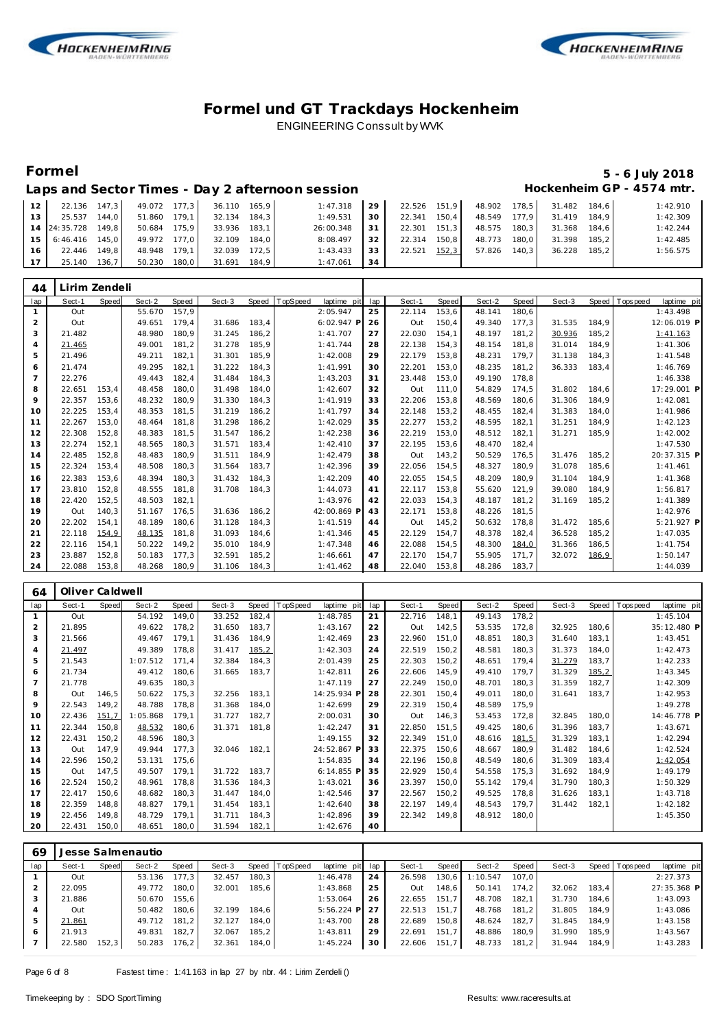



## **Formel 5 - 6 July 2018**

| Laps and Sector Times - Day 2 afternoon session | Hockenheim GP - 4574 mtr. |
|-------------------------------------------------|---------------------------|

| 12 <sup>1</sup> |                    |       |                                | 22.136 147.3 49.072 177.3 36.110 165.9 |       | 1:47.318  | 29              |              |        |       | 22.526 151,9 48.902 178,5 31.482 184,6 |       | 1:42.910 |
|-----------------|--------------------|-------|--------------------------------|----------------------------------------|-------|-----------|-----------------|--------------|--------|-------|----------------------------------------|-------|----------|
| 13 <sup>1</sup> | 25.537             | 144.0 | 51.860 179,1                   | 32.134 184.3                           |       | 1:49.531  | 30              | 22.341 150,4 | 48.549 | 177.9 | 31.419                                 | 184.9 | 1:42.309 |
|                 | 14 24:35.728 149.8 |       | 50.684 175.9                   | $33.936$ $183.1$                       |       | 26:00.348 | 31              | 22.301 151.3 |        |       | 48.575 180.3 31.368 184.6              |       | 1:42.244 |
|                 |                    |       | 15 6:46.416 145.0 49.972 177.0 | 32.109                                 | 184.0 | 8:08.497  | 32 <sub>1</sub> | 22.314 150.8 | 48.773 | 180.0 | 31.398                                 | 185.2 | 1:42.485 |
| 16 <sub>1</sub> | 22.446 149.8       |       | 48.948 179.1                   | 32.039                                 | 172.5 | 1:43.433  | 33              | 22.521 152,3 | 57.826 | 140.3 | 36.228                                 | 185.2 | 1:56.575 |
| 17 <sup>1</sup> | 25.140 136,7       |       | 50.230 180,0                   | 31.691 184,9                           |       | 1:47.061  | 34              |              |        |       |                                        |       |          |

| 44             | Lirim Zendeli |       |        |       |        |       |          |             |     |        |              |        |              |        |       |           |             |
|----------------|---------------|-------|--------|-------|--------|-------|----------|-------------|-----|--------|--------------|--------|--------------|--------|-------|-----------|-------------|
| lap            | Sect-1        | Speed | Sect-2 | Speed | Sect-3 | Speed | TopSpeed | laptime pit | lap | Sect-1 | <b>Speed</b> | Sect-2 | <b>Speed</b> | Sect-3 | Speed | Tops peed | laptime pit |
|                | Out           |       | 55.670 | 157.9 |        |       |          | 2:05.947    | 25  | 22.114 | 153,6        | 48.141 | 180.6        |        |       |           | 1:43.498    |
| 2              | Out           |       | 49.651 | 179.4 | 31.686 | 183.4 |          | 6:02.947 F  | 26  | Out    | 150.4        | 49.340 | 177,3        | 31.535 | 184.9 |           | 12:06.019 P |
| 3              | 21.482        |       | 48.980 | 180.9 | 31.245 | 186,2 |          | 1:41.707    | 27  | 22.030 | 154.1        | 48.197 | 181,2        | 30.936 | 185,2 |           | 1:41.163    |
| $\overline{4}$ | 21.465        |       | 49.001 | 181,2 | 31.278 | 185.9 |          | 1:41.744    | 28  | 22.138 | 154.3        | 48.154 | 181,8        | 31.014 | 184.9 |           | 1:41.306    |
| 5              | 21.496        |       | 49.211 | 182.1 | 31.301 | 185.9 |          | 1:42.008    | 29  | 22.179 | 153,8        | 48.231 | 179.7        | 31.138 | 184,3 |           | 1:41.548    |
| 6              | 21.474        |       | 49.295 | 182.1 | 31.222 | 184,3 |          | 1:41.991    | 30  | 22.201 | 153,0        | 48.235 | 181,2        | 36.333 | 183,4 |           | 1:46.769    |
| $\overline{7}$ | 22.276        |       | 49.443 | 182.4 | 31.484 | 184,3 |          | 1:43.203    | 31  | 23.448 | 153,0        | 49.190 | 178,8        |        |       |           | 1:46.338    |
| 8              | 22.651        | 153,4 | 48.458 | 180.0 | 31.498 | 184,0 |          | 1:42.607    | 32  | Out    | 111,0        | 54.829 | 174,5        | 31.802 | 184,6 |           | 17:29.001 P |
| 9              | 22.357        | 153,6 | 48.232 | 180.9 | 31.330 | 184,3 |          | 1:41.919    | 33  | 22.206 | 153,8        | 48.569 | 180,6        | 31.306 | 184,9 |           | 1:42.081    |
| 10             | 22.225        | 153,4 | 48.353 | 181.5 | 31.219 | 186,2 |          | 1:41.797    | 34  | 22.148 | 153,2        | 48.455 | 182,4        | 31.383 | 184,0 |           | 1:41.986    |
| 11             | 22.267        | 153,0 | 48.464 | 181,8 | 31.298 | 186,2 |          | 1:42.029    | 35  | 22.277 | 153,2        | 48.595 | 182,1        | 31.251 | 184,9 |           | 1:42.123    |
| 12             | 22.308        | 152,8 | 48.383 | 181.5 | 31.547 | 186,2 |          | 1:42.238    | 36  | 22.219 | 153,0        | 48.512 | 182,1        | 31.271 | 185,9 |           | 1:42.002    |
| 13             | 22.274        | 152,1 | 48.565 | 180.3 | 31.571 | 183,4 |          | 1:42.410    | 37  | 22.195 | 153,6        | 48.470 | 182,4        |        |       |           | 1:47.530    |
| 14             | 22.485        | 152,8 | 48.483 | 180.9 | 31.511 | 184,9 |          | 1:42.479    | 38  | Out    | 143,2        | 50.529 | 176,5        | 31.476 | 185,2 |           | 20:37.315 P |
| 15             | 22.324        | 153,4 | 48.508 | 180,3 | 31.564 | 183,7 |          | 1:42.396    | 39  | 22.056 | 154,5        | 48.327 | 180,9        | 31.078 | 185,6 |           | 1:41.461    |
| 16             | 22.383        | 153.6 | 48.394 | 180.3 | 31.432 | 184,3 |          | 1:42.209    | 40  | 22.055 | 154,5        | 48.209 | 180,9        | 31.104 | 184,9 |           | 1:41.368    |
| 17             | 23.810        | 152.8 | 48.555 | 181.8 | 31.708 | 184,3 |          | 1:44.073    | 41  | 22.117 | 153,8        | 55.620 | 121,9        | 39.080 | 184.9 |           | 1:56.817    |
| 18             | 22.420        | 152,5 | 48.503 | 182.1 |        |       |          | 1:43.976    | 42  | 22.033 | 154.3        | 48.187 | 181,2        | 31.169 | 185,2 |           | 1:41.389    |
| 19             | Out           | 140.3 | 51.167 | 176.5 | 31.636 | 186,2 |          | 42:00.869 F | 43  | 22.171 | 153,8        | 48.226 | 181,5        |        |       |           | 1:42.976    |
| 20             | 22.202        | 154,1 | 48.189 | 180.6 | 31.128 | 184,3 |          | 1:41.519    | 44  | Out    | 145,2        | 50.632 | 178,8        | 31.472 | 185,6 |           | 5:21.927 P  |
| 21             | 22.118        | 154,9 | 48.135 | 181.8 | 31.093 | 184,6 |          | 1:41.346    | 45  | 22.129 | 154,7        | 48.378 | 182,4        | 36.528 | 185,2 |           | 1:47.035    |
| 22             | 22.116        | 154,1 | 50.222 | 149,2 | 35.010 | 184,9 |          | 1:47.348    | 46  | 22.088 | 154,5        | 48.300 | 184,0        | 31.366 | 186,5 |           | 1:41.754    |
| 23             | 23.887        | 152,8 | 50.183 | 177,3 | 32.591 | 185,2 |          | 1:46.661    | 47  | 22.170 | 154.7        | 55.905 | 171,7        | 32.072 | 186,9 |           | 1:50.147    |
| 24             | 22.088        | 153.8 | 48.268 | 180.9 | 31.106 | 184.3 |          | 1:41.462    | 48  | 22.040 | 153.8        | 48.286 | 183.7        |        |       |           | 1:44.039    |

| 64             | Oliver Caldwell |       |          |       |        |       |                        |     |        |       |        |       |        |       |            |             |
|----------------|-----------------|-------|----------|-------|--------|-------|------------------------|-----|--------|-------|--------|-------|--------|-------|------------|-------------|
| lap            | Sect-1          | Speed | Sect-2   | Speed | Sect-3 | Speed | opSpeed<br>laptime pit | lap | Sect-1 | Speed | Sect-2 | Speed | Sect-3 | Speed | T ops peed | laptime pit |
|                | Out             |       | 54.192   | 149,0 | 33.252 | 182,4 | 1:48.785               | 21  | 22.716 | 148,1 | 49.143 | 178,2 |        |       |            | 1:45.104    |
| $\overline{2}$ | 21.895          |       | 49.622   | 178,2 | 31.650 | 183,7 | 1:43.167               | 22  | Out    | 142,5 | 53.535 | 172,8 | 32.925 | 180,6 |            | 35:12.480 P |
| 3              | 21.566          |       | 49.467   | 179,1 | 31.436 | 184,9 | 1:42.469               | 23  | 22.960 | 151,0 | 48.851 | 180,3 | 31.640 | 183,1 |            | 1:43.451    |
| $\overline{4}$ | 21.497          |       | 49.389   | 178,8 | 31.417 | 185,2 | 1:42.303               | 24  | 22.519 | 150,2 | 48.581 | 180,3 | 31.373 | 184,0 |            | 1:42.473    |
| 5              | 21.543          |       | 1:07.512 | 171,4 | 32.384 | 184,3 | 2:01.439               | 25  | 22.303 | 150,2 | 48.651 | 179,4 | 31.279 | 183,7 |            | 1:42.233    |
| 6              | 21.734          |       | 49.412   | 180,6 | 31.665 | 183,7 | 1:42.811               | 26  | 22.606 | 145,9 | 49.410 | 179,7 | 31.329 | 185,2 |            | 1:43.345    |
| $\overline{7}$ | 21.778          |       | 49.635   | 180,3 |        |       | 1:47.119               | 27  | 22.249 | 150,0 | 48.701 | 180,3 | 31.359 | 182,7 |            | 1:42.309    |
| 8              | Out             | 146,5 | 50.622   | 175,3 | 32.256 | 183,1 | 14:25.934 P            | 28  | 22.301 | 150,4 | 49.011 | 180,0 | 31.641 | 183,7 |            | 1:42.953    |
| 9              | 22.543          | 149,2 | 48.788   | 178,8 | 31.368 | 184,0 | 1:42.699               | 29  | 22.319 | 150,4 | 48.589 | 175,9 |        |       |            | 1:49.278    |
| 10             | 22.436          | 151,7 | 1:05.868 | 179,1 | 31.727 | 182,7 | 2:00.031               | 30  | Out    | 146,3 | 53.453 | 172,8 | 32.845 | 180,0 |            | 14:46.778 P |
| 11             | 22.344          | 150,8 | 48.532   | 180,6 | 31.371 | 181,8 | 1:42.247               | 31  | 22.850 | 151,5 | 49.425 | 180,6 | 31.396 | 183,7 |            | 1:43.671    |
| 12             | 22.431          | 150,2 | 48.596   | 180,3 |        |       | 1:49.155               | 32  | 22.349 | 151,0 | 48.616 | 181,5 | 31.329 | 183,1 |            | 1:42.294    |
| 13             | Out             | 147,9 | 49.944   | 177,3 | 32.046 | 182,1 | 24:52.867 P            | 33  | 22.375 | 150,6 | 48.667 | 180,9 | 31.482 | 184,6 |            | 1:42.524    |
| 14             | 22.596          | 150,2 | 53.131   | 175,6 |        |       | 1:54.835               | 34  | 22.196 | 150,8 | 48.549 | 180,6 | 31.309 | 183,4 |            | 1:42.054    |
| 15             | Out             | 147,5 | 49.507   | 179,1 | 31.722 | 183,7 | 6:14.855 P             | 35  | 22.929 | 150,4 | 54.558 | 175,3 | 31.692 | 184,9 |            | 1:49.179    |
| 16             | 22.524          | 150,2 | 48.961   | 178,8 | 31.536 | 184,3 | 1:43.021               | 36  | 23.397 | 150,0 | 55.142 | 179,4 | 31.790 | 180,3 |            | 1:50.329    |
| 17             | 22.417          | 150,6 | 48.682   | 180,3 | 31.447 | 184,0 | 1:42.546               | 37  | 22.567 | 150,2 | 49.525 | 178,8 | 31.626 | 183,1 |            | 1:43.718    |
| 18             | 22.359          | 148,8 | 48.827   | 179,1 | 31.454 | 183,1 | 1:42.640               | 38  | 22.197 | 149,4 | 48.543 | 179,7 | 31.442 | 182,1 |            | 1:42.182    |
| 19             | 22.456          | 149,8 | 48.729   | 179,1 | 31.711 | 184,3 | 1:42.896               | 39  | 22.342 | 149,8 | 48.912 | 180,0 |        |       |            | 1:45.350    |
| 20             | 22.431          | 150,0 | 48.651   | 180,0 | 31.594 | 182,1 | 1:42.676               | 40  |        |       |        |       |        |       |            |             |

| 69             |        |       | Jesse Salmenautio |       |        |       |                  |                 |    |        |       |          |       |        |       |             |             |  |
|----------------|--------|-------|-------------------|-------|--------|-------|------------------|-----------------|----|--------|-------|----------|-------|--------|-------|-------------|-------------|--|
| lap            | Sect-1 | Speed | Sect-2            | Speed | Sect-3 |       | Speed   TopSpeed | laptime pit lap |    | Sect-1 | Speed | Sect-2   | Speed | Sect-3 | Speed | T ops pee d | laptime pit |  |
|                | Out    |       | 53.136            | 177.3 | 32.457 | 180.3 |                  | 1:46.478        | 24 | 26.598 | 130,6 | 1:10.547 | 107.0 |        |       |             | 2:27.373    |  |
|                | 22.095 |       | 49.772            | 180.0 | 32.001 | 185,6 |                  | 1:43.868        | 25 | Out    | 148,6 | 50.141   | 174.2 | 32.062 | 183,4 |             | 27:35.368 P |  |
| 3              | 21.886 |       | 50.670            | 155.6 |        |       |                  | 1:53.064        | 26 | 22.655 | 151.7 | 48.708   | 182.1 | 31.730 | 184.6 |             | 1:43.093    |  |
| $\overline{4}$ | Out    |       | 50.482            | 180.6 | 32.199 | 184.6 |                  | 5:56.224<br>P   | 27 | 22.513 | 151.7 | 48.768   | 181,2 | 31.805 | 184.9 |             | 1:43.086    |  |
| 5              | 21.861 |       | 49.712            | 181.2 | 32.127 | 184.0 |                  | 1:43.700        | 28 | 22.689 | 150,8 | 48.624   | 182.7 | 31.845 | 184.9 |             | 1:43.158    |  |
| 6              | 21.913 |       | 49.831            | 182.7 | 32.067 | 185.2 |                  | 1:43.811        | 29 | 22.691 | 151.7 | 48.886   | 180.9 | 31.990 | 185.9 |             | 1:43.567    |  |
|                | 22.580 | 152,3 | 50.283            | 176,2 | 32.361 | 184,0 |                  | 1:45.224        | 30 | 22.606 | 151,7 | 48.733   | 181,2 | 31.944 | 184.9 |             | 1:43.283    |  |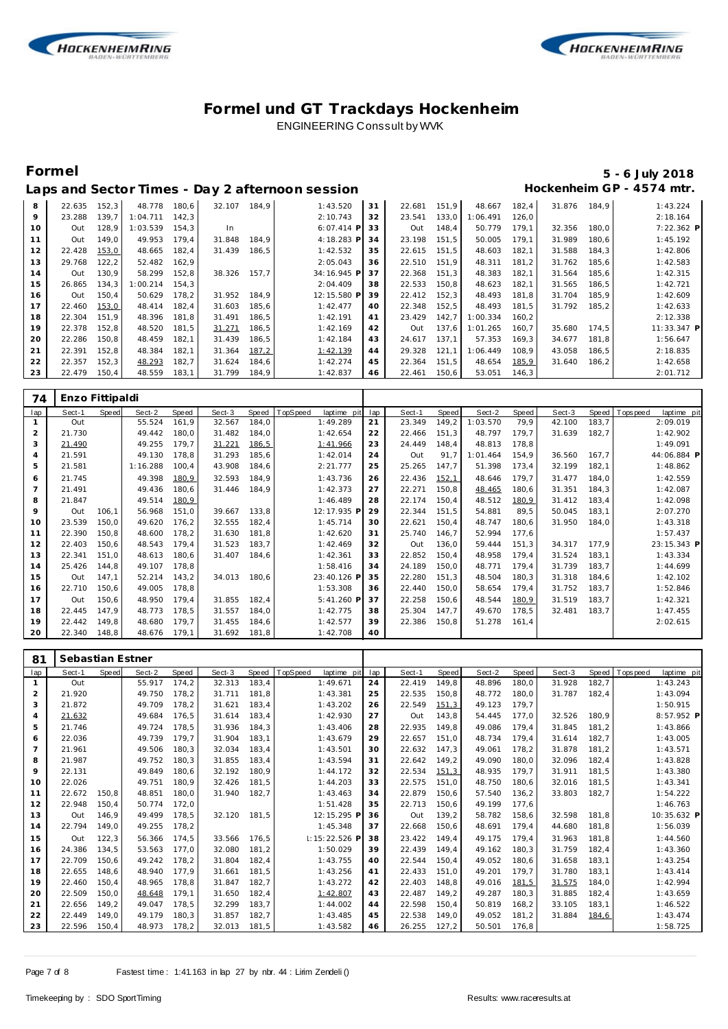



## **Formel 5 - 6 July 2018**

 Out 137,6 1:01.265 160,7 35.680 174,5 11:33.347 **P** 1:56.647<br>2:18.835

 Out 148,4 50.779 179,1 32.356 180,0 7:22.362 **P** 1: 45.192<br>1: 42.806

|    |        |       |          |       |        |       | Laps and Sector Times - Day 2 afternoon session |    |        |       |          |       |        |       | Hockenheim GP - 4574 mtr. |
|----|--------|-------|----------|-------|--------|-------|-------------------------------------------------|----|--------|-------|----------|-------|--------|-------|---------------------------|
| 8  | 22.635 | 152,3 | 48.778   | 180.6 | 32.107 | 184.9 | 1:43.520                                        | 31 | 22.681 | 151.9 | 48.667   | 182.4 | 31.876 | 184.9 | 1:43.224                  |
| 9  | 23.288 | 139.7 | 1:04.711 | 142.3 |        |       | 2:10.743                                        | 32 | 23.541 | 133,0 | 1:06.491 | 126.0 |        |       | 2:18.164                  |
| 10 | Out    | 128,9 | 1:03.539 | 154,3 | In     |       | $6:07.414$ P                                    | 33 | Out    | 148,4 | 50.779   | 179.1 | 32.356 | 180,0 | 7:22.362                  |
| 11 | Out    | 149.0 | 49.953   | 179.4 | 31.848 | 184.9 | 4:18.283 P                                      | 34 | 23.198 | 151.5 | 50.005   | 179.1 | 31.989 | 180.6 | 1:45.192                  |
| 12 | 22.428 | 153,0 | 48.665   | 182.4 | 31.439 | 186.5 | 1:42.532                                        | 35 | 22.615 | 151.5 | 48.603   | 182.1 | 31.588 | 184.3 | 1:42.806                  |
| 13 | 29.768 | 122,2 | 52.482   | 162,9 |        |       | 2:05.043                                        | 36 | 22.510 | 151,9 | 48.311   | 181.2 | 31.762 | 185,6 | 1:42.583                  |
| 14 | Out    | 130,9 | 58.299   | 152,8 | 38.326 | 157.7 | 34:16.945 P                                     | 37 | 22.368 | 151,3 | 48.383   | 182,1 | 31.564 | 185,6 | 1:42.315                  |
| 15 | 26.865 | 134,3 | 1:00.214 | 154.3 |        |       | 2:04.409                                        | 38 | 22.533 | 150.8 | 48.623   | 182,1 | 31.565 | 186,5 | 1:42.721                  |
| 16 | Out    | 150.4 | 50.629   | 178.2 | 31.952 | 184,9 | 12:15.580 P                                     | 39 | 22.412 | 152,3 | 48.493   | 181.8 | 31.704 | 185.9 | 1:42.609                  |
| 17 | 22.460 | 153,0 | 48.414   | 182.4 | 31.603 | 185,6 | 1:42.477                                        | 40 | 22.348 | 152,5 | 48.493   | 181.5 | 31.792 | 185,2 | 1:42.633                  |
| 18 | 22.304 | 151,9 | 48.396   | 181.8 | 31.491 | 186,5 | 1:42.191                                        | 41 | 23.429 | 142,7 | 1:00.334 | 160.2 |        |       | 2:12.338                  |
| 19 | 22.378 | 152,8 | 48.520   | 181.5 | 31.271 | 186,5 | 1:42.169                                        | 42 | Out    | 137,6 | 1:01.265 | 160.7 | 35.680 | 174.5 | 11:33.347                 |
| 20 | 22.286 | 150,8 | 48.459   | 182,1 | 31.439 | 186,5 | 1:42.184                                        | 43 | 24.617 | 137.1 | 57.353   | 169.3 | 34.677 | 181,8 | 1:56.647                  |
| 21 | 22.391 | 152,8 | 48.384   | 182,1 | 31.364 | 187,2 | 1:42.139                                        | 44 | 29.328 | 121,1 | 1:06.449 | 108.9 | 43.058 | 186,5 | 2:18.835                  |
| 22 | 22.357 | 152,3 | 48.293   | 182,7 | 31.624 | 184,6 | 1:42.274                                        | 45 | 22.364 | 151,5 | 48.654   | 185,9 | 31.640 | 186,2 | 1:42.658                  |
| 23 | 22.479 | 150,4 | 48.559   | 183,1 | 31.799 | 184,9 | 1:42.837                                        | 46 | 22.461 | 150,6 | 53.051   | 146,3 |        |       | 2:01.712                  |

| 74             | Enzo Fittipaldi |              |          |       |        |       |          |             |     |        |       |          |       |        |       |             |             |  |
|----------------|-----------------|--------------|----------|-------|--------|-------|----------|-------------|-----|--------|-------|----------|-------|--------|-------|-------------|-------------|--|
| lap            | Sect-1          | <b>Speed</b> | Sect-2   | Speed | Sect-3 | Speed | TopSpeed | laptime pit | lap | Sect-1 | Speed | Sect-2   | Speed | Sect-3 | Speed | T ops pee d | laptime pit |  |
|                | Out             |              | 55.524   | 161,9 | 32.567 | 184,0 |          | 1:49.289    | 21  | 23.349 | 149,2 | 1:03.570 | 79,9  | 42.100 | 183,7 |             | 2:09.019    |  |
| $\overline{2}$ | 21.730          |              | 49.442   | 180,0 | 31.482 | 184,0 |          | 1:42.654    | 22  | 22.466 | 151,3 | 48.797   | 179,7 | 31.639 | 182,7 |             | 1:42.902    |  |
| 3              | 21.490          |              | 49.255   | 179,7 | 31.221 | 186,5 |          | 1:41.966    | 23  | 24.449 | 148,4 | 48.813   | 178,8 |        |       |             | 1:49.091    |  |
| $\overline{4}$ | 21.591          |              | 49.130   | 178,8 | 31.293 | 185,6 |          | 1:42.014    | 24  | Out    | 91.7  | 1:01.464 | 154,9 | 36.560 | 167.7 |             | 44:06.884 P |  |
| 5              | 21.581          |              | 1:16.288 | 100,4 | 43.908 | 184,6 |          | 2:21.777    | 25  | 25.265 | 147,7 | 51.398   | 173,4 | 32.199 | 182,1 |             | 1:48.862    |  |
| 6              | 21.745          |              | 49.398   | 180,9 | 32.593 | 184,9 |          | 1:43.736    | 26  | 22.436 | 152,1 | 48.646   | 179,7 | 31.477 | 184,0 |             | 1:42.559    |  |
|                | 21.491          |              | 49.436   | 180,6 | 31.446 | 184,9 |          | 1:42.373    | 27  | 22.271 | 150,8 | 48.465   | 180,6 | 31.351 | 184,3 |             | 1:42.087    |  |
| 8              | 21.847          |              | 49.514   | 180,9 |        |       |          | 1:46.489    | 28  | 22.174 | 150,4 | 48.512   | 180,9 | 31.412 | 183,4 |             | 1:42.098    |  |
| 9              | Out             | 106,1        | 56.968   | 151,0 | 39.667 | 133,8 |          | 12:17.935 P | 29  | 22.344 | 151,5 | 54.881   | 89,5  | 50.045 | 183,1 |             | 2:07.270    |  |
| 10             | 23.539          | 150,0        | 49.620   | 176,2 | 32.555 | 182,4 |          | 1:45.714    | 30  | 22.621 | 150,4 | 48.747   | 180,6 | 31.950 | 184,0 |             | 1:43.318    |  |
| 11             | 22.390          | 150,8        | 48.600   | 178,2 | 31.630 | 181,8 |          | 1:42.620    | 31  | 25.740 | 146,7 | 52.994   | 177,6 |        |       |             | 1:57.437    |  |
| 12             | 22.403          | 150,6        | 48.543   | 179,4 | 31.523 | 183,7 |          | 1:42.469    | 32  | Out    | 136,0 | 59.444   | 151,3 | 34.317 | 177,9 |             | 23:15.343 P |  |
| 13             | 22.341          | 151,0        | 48.613   | 180,6 | 31.407 | 184,6 |          | 1:42.361    | 33  | 22.852 | 150,4 | 48.958   | 179,4 | 31.524 | 183,1 |             | 1:43.334    |  |
| 14             | 25.426          | 144,8        | 49.107   | 178,8 |        |       |          | 1:58.416    | 34  | 24.189 | 150,0 | 48.771   | 179,4 | 31.739 | 183,7 |             | 1:44.699    |  |
| 15             | Out             | 147,1        | 52.214   | 143,2 | 34.013 | 180.6 |          | 23:40.126 P | 35  | 22.280 | 151,3 | 48.504   | 180,3 | 31.318 | 184,6 |             | 1:42.102    |  |
| 16             | 22.710          | 150,6        | 49.005   | 178,8 |        |       |          | 1:53.308    | 36  | 22.440 | 150,0 | 58.654   | 179,4 | 31.752 | 183,7 |             | 1:52.846    |  |
| 17             | Out             | 150,6        | 48.950   | 179,4 | 31.855 | 182,4 |          | 5:41.260 P  | 37  | 22.258 | 150,6 | 48.544   | 180,9 | 31.519 | 183,7 |             | 1:42.321    |  |
| 18             | 22.445          | 147.9        | 48.773   | 178,5 | 31.557 | 184,0 |          | 1:42.775    | 38  | 25.304 | 147,7 | 49.670   | 178,5 | 32.481 | 183,7 |             | 1:47.455    |  |
| 19             | 22.442          | 149,8        | 48.680   | 179,7 | 31.455 | 184,6 |          | 1:42.577    | 39  | 22.386 | 150,8 | 51.278   | 161,4 |        |       |             | 2:02.615    |  |
| 20             | 22.340          | 148,8        | 48.676   | 179,1 | 31.692 | 181,8 |          | 1:42.708    | 40  |        |       |          |       |        |       |             |             |  |

| 81  | Sebastian Estner |       |        |       |        |       |                         |     |        |              |        |       |        |       |            |             |
|-----|------------------|-------|--------|-------|--------|-------|-------------------------|-----|--------|--------------|--------|-------|--------|-------|------------|-------------|
| lap | Sect-1           | Speed | Sect-2 | Speed | Sect-3 | Speed | TopSpeed<br>laptime pit | lap | Sect-1 | <b>Speed</b> | Sect-2 | Speed | Sect-3 | Speed | Tops pee d | laptime pit |
|     | Out              |       | 55.917 | 174,2 | 32.313 | 183,4 | 1:49.671                | 24  | 22.419 | 149,8        | 48.896 | 180,0 | 31.928 | 182,7 |            | 1:43.243    |
| 2   | 21.920           |       | 49.750 | 178.2 | 31.711 | 181.8 | 1:43.381                | 25  | 22.535 | 150,8        | 48.772 | 180,0 | 31.787 | 182,4 |            | 1:43.094    |
| 3   | 21.872           |       | 49.709 | 178,2 | 31.621 | 183.4 | 1:43.202                | 26  | 22.549 | 151,3        | 49.123 | 179.7 |        |       |            | 1:50.915    |
| 4   | 21.632           |       | 49.684 | 176,5 | 31.614 | 183,4 | 1:42.930                | 27  | Out    | 143,8        | 54.445 | 177,0 | 32.526 | 180,9 |            | 8:57.952 P  |
| 5   | 21.746           |       | 49.724 | 178.5 | 31.936 | 184,3 | 1:43.406                | 28  | 22.935 | 149.8        | 49.086 | 179.4 | 31.845 | 181,2 |            | 1:43.866    |
| 6   | 22.036           |       | 49.739 | 179.7 | 31.904 | 183,1 | 1:43.679                | 29  | 22.657 | 151.0        | 48.734 | 179,4 | 31.614 | 182,7 |            | 1:43.005    |
| 7   | 21.961           |       | 49.506 | 180.3 | 32.034 | 183.4 | 1:43.501                | 30  | 22.632 | 147.3        | 49.061 | 178.2 | 31.878 | 181,2 |            | 1:43.571    |
| 8   | 21.987           |       | 49.752 | 180,3 | 31.855 | 183,4 | 1:43.594                | 31  | 22.642 | 149,2        | 49.090 | 180,0 | 32.096 | 182,4 |            | 1:43.828    |
| 9   | 22.131           |       | 49.849 | 180.6 | 32.192 | 180,9 | 1:44.172                | 32  | 22.534 | 151,3        | 48.935 | 179,7 | 31.911 | 181,5 |            | 1:43.380    |
| 10  | 22.026           |       | 49.751 | 180.9 | 32.426 | 181.5 | 1:44.203                | 33  | 22.575 | 151.0        | 48.750 | 180.6 | 32.016 | 181.5 |            | 1:43.341    |
| 11  | 22.672           | 150,8 | 48.851 | 180,0 | 31.940 | 182,7 | 1:43.463                | 34  | 22.879 | 150,6        | 57.540 | 136,2 | 33.803 | 182,7 |            | 1:54.222    |
| 12  | 22.948           | 150,4 | 50.774 | 172,0 |        |       | 1:51.428                | 35  | 22.713 | 150,6        | 49.199 | 177,6 |        |       |            | 1:46.763    |
| 13  | Out              | 146,9 | 49.499 | 178,5 | 32.120 | 181.5 | 12:15.295 F             | 36  | Out    | 139,2        | 58.782 | 158,6 | 32.598 | 181,8 |            | 10:35.632 P |
| 14  | 22.794           | 149,0 | 49.255 | 178,2 |        |       | 1:45.348                | 37  | 22.668 | 150,6        | 48.691 | 179,4 | 44.680 | 181,8 |            | 1:56.039    |
| 15  | Out              | 122,3 | 56.366 | 174.5 | 33.566 | 176.5 | 1:15:22.526 F           | 38  | 23.422 | 149.4        | 49.175 | 179.4 | 31.963 | 181.8 |            | 1:44.560    |
| 16  | 24.386           | 134.5 | 53.563 | 177.0 | 32.080 | 181,2 | 1:50.029                | 39  | 22.439 | 149.4        | 49.162 | 180,3 | 31.759 | 182,4 |            | 1:43.360    |
| 17  | 22.709           | 150.6 | 49.242 | 178.2 | 31.804 | 182,4 | 1:43.755                | 40  | 22.544 | 150.4        | 49.052 | 180.6 | 31.658 | 183.1 |            | 1:43.254    |
| 18  | 22.655           | 148,6 | 48.940 | 177.9 | 31.661 | 181,5 | 1:43.256                | 41  | 22.433 | 151,0        | 49.201 | 179,7 | 31.780 | 183,1 |            | 1:43.414    |
| 19  | 22.460           | 150.4 | 48.965 | 178.8 | 31.847 | 182.7 | 1:43.272                | 42  | 22.403 | 148.8        | 49.016 | 181,5 | 31.575 | 184,0 |            | 1:42.994    |
| 20  | 22.509           | 150.0 | 48.648 | 179.1 | 31.650 | 182.4 | 1:42.807                | 43  | 22.487 | 149.2        | 49.287 | 180,3 | 31.885 | 182,4 |            | 1:43.659    |
| 21  | 22.656           | 149,2 | 49.047 | 178,5 | 32.299 | 183,7 | 1:44.002                | 44  | 22.598 | 150,4        | 50.819 | 168,2 | 33.105 | 183,1 |            | 1:46.522    |
| 22  | 22.449           | 149.0 | 49.179 | 180.3 | 31.857 | 182.7 | 1:43.485                | 45  | 22.538 | 149.0        | 49.052 | 181,2 | 31.884 | 184,6 |            | 1:43.474    |
| 23  | 22.596           | 150.4 | 48.973 | 178,2 | 32.013 | 181,5 | 1:43.582                | 46  | 26.255 | 127,2        | 50.501 | 176,8 |        |       |            | 1:58.725    |